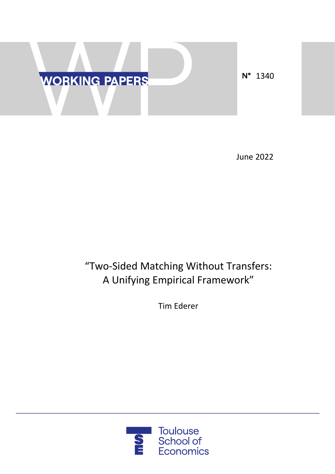

June 2022

# "Two-Sided Matching Without Transfers: A Unifying Empirical Framework"

Tim Ederer

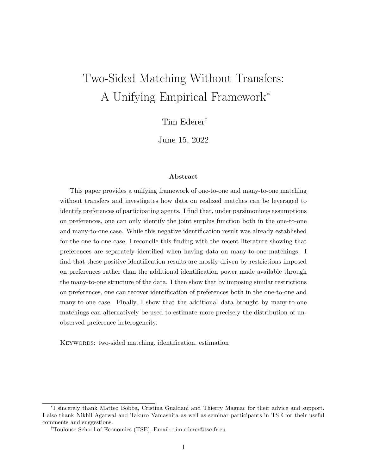# Two-Sided Matching Without Transfers: A Unifying Empirical Framework<sup>∗</sup>

Tim Ederer†

June 15, 2022

#### Abstract

This paper provides a unifying framework of one-to-one and many-to-one matching without transfers and investigates how data on realized matches can be leveraged to identify preferences of participating agents. I find that, under parsimonious assumptions on preferences, one can only identify the joint surplus function both in the one-to-one and many-to-one case. While this negative identification result was already established for the one-to-one case, I reconcile this finding with the recent literature showing that preferences are separately identified when having data on many-to-one matchings. I find that these positive identification results are mostly driven by restrictions imposed on preferences rather than the additional identification power made available through the many-to-one structure of the data. I then show that by imposing similar restrictions on preferences, one can recover identification of preferences both in the one-to-one and many-to-one case. Finally, I show that the additional data brought by many-to-one matchings can alternatively be used to estimate more precisely the distribution of unobserved preference heterogeneity.

KEYWORDS: two-sided matching, identification, estimation

<sup>∗</sup> I sincerely thank Matteo Bobba, Cristina Gualdani and Thierry Magnac for their advice and support. I also thank Nikhil Agarwal and Takuro Yamashita as well as seminar participants in TSE for their useful comments and suggestions.

<sup>†</sup>Toulouse School of Economics (TSE), Email: tim.ederer@tse-fr.eu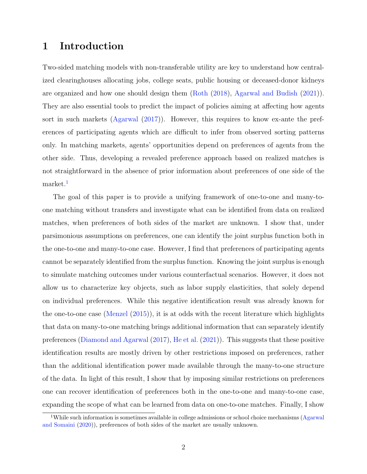# 1 Introduction

Two-sided matching models with non-transferable utility are key to understand how centralized clearinghouses allocating jobs, college seats, public housing or deceased-donor kidneys are organized and how one should design them [\(Roth](#page-58-0) [\(2018\)](#page-58-0), [Agarwal and Budish](#page-57-0) [\(2021\)](#page-57-0)). They are also essential tools to predict the impact of policies aiming at affecting how agents sort in such markets [\(Agarwal](#page-57-1) [\(2017\)](#page-57-1)). However, this requires to know ex-ante the preferences of participating agents which are difficult to infer from observed sorting patterns only. In matching markets, agents' opportunities depend on preferences of agents from the other side. Thus, developing a revealed preference approach based on realized matches is not straightforward in the absence of prior information about preferences of one side of the market.<sup>[1](#page-2-0)</sup>

The goal of this paper is to provide a unifying framework of one-to-one and many-toone matching without transfers and investigate what can be identified from data on realized matches, when preferences of both sides of the market are unknown. I show that, under parsimonious assumptions on preferences, one can identify the joint surplus function both in the one-to-one and many-to-one case. However, I find that preferences of participating agents cannot be separately identified from the surplus function. Knowing the joint surplus is enough to simulate matching outcomes under various counterfactual scenarios. However, it does not allow us to characterize key objects, such as labor supply elasticities, that solely depend on individual preferences. While this negative identification result was already known for the one-to-one case [\(Menzel](#page-58-1) [\(2015\)](#page-58-1)), it is at odds with the recent literature which highlights that data on many-to-one matching brings additional information that can separately identify preferences [\(Diamond and Agarwal](#page-57-2) [\(2017\)](#page-57-2), [He et al.](#page-58-2) [\(2021\)](#page-58-2)). This suggests that these positive identification results are mostly driven by other restrictions imposed on preferences, rather than the additional identification power made available through the many-to-one structure of the data. In light of this result, I show that by imposing similar restrictions on preferences one can recover identification of preferences both in the one-to-one and many-to-one case, expanding the scope of what can be learned from data on one-to-one matches. Finally, I show

<span id="page-2-0"></span><sup>&</sup>lt;sup>1</sup>While such information is sometimes available in college admissions or school choice mechanisms [\(Agarwal](#page-57-3) [and Somaini](#page-57-3) [\(2020\)](#page-57-3)), preferences of both sides of the market are usually unknown.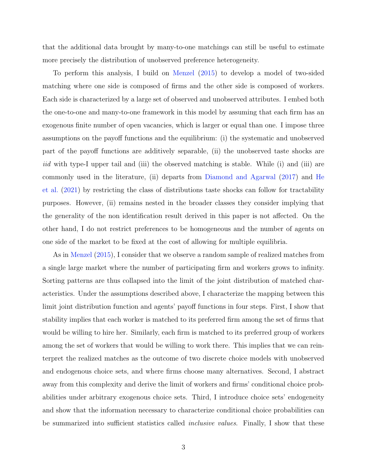that the additional data brought by many-to-one matchings can still be useful to estimate more precisely the distribution of unobserved preference heterogeneity.

To perform this analysis, I build on [Menzel](#page-58-1) [\(2015\)](#page-58-1) to develop a model of two-sided matching where one side is composed of firms and the other side is composed of workers. Each side is characterized by a large set of observed and unobserved attributes. I embed both the one-to-one and many-to-one framework in this model by assuming that each firm has an exogenous finite number of open vacancies, which is larger or equal than one. I impose three assumptions on the payoff functions and the equilibrium: (i) the systematic and unobserved part of the payoff functions are additively separable, (ii) the unobserved taste shocks are iid with type-I upper tail and (iii) the observed matching is stable. While (i) and (iii) are commonly used in the literature, (ii) departs from [Diamond and Agarwal](#page-57-2) [\(2017\)](#page-57-2) and [He](#page-58-2) [et al.](#page-58-2) [\(2021\)](#page-58-2) by restricting the class of distributions taste shocks can follow for tractability purposes. However, (ii) remains nested in the broader classes they consider implying that the generality of the non identification result derived in this paper is not affected. On the other hand, I do not restrict preferences to be homogeneous and the number of agents on one side of the market to be fixed at the cost of allowing for multiple equilibria.

As in [Menzel](#page-58-1) [\(2015\)](#page-58-1), I consider that we observe a random sample of realized matches from a single large market where the number of participating firm and workers grows to infinity. Sorting patterns are thus collapsed into the limit of the joint distribution of matched characteristics. Under the assumptions described above, I characterize the mapping between this limit joint distribution function and agents' payoff functions in four steps. First, I show that stability implies that each worker is matched to its preferred firm among the set of firms that would be willing to hire her. Similarly, each firm is matched to its preferred group of workers among the set of workers that would be willing to work there. This implies that we can reinterpret the realized matches as the outcome of two discrete choice models with unobserved and endogenous choice sets, and where firms choose many alternatives. Second, I abstract away from this complexity and derive the limit of workers and firms' conditional choice probabilities under arbitrary exogenous choice sets. Third, I introduce choice sets' endogeneity and show that the information necessary to characterize conditional choice probabilities can be summarized into sufficient statistics called *inclusive values*. Finally, I show that these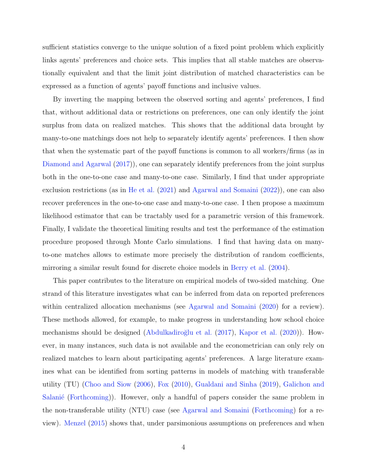sufficient statistics converge to the unique solution of a fixed point problem which explicitly links agents' preferences and choice sets. This implies that all stable matches are observationally equivalent and that the limit joint distribution of matched characteristics can be expressed as a function of agents' payoff functions and inclusive values.

By inverting the mapping between the observed sorting and agents' preferences, I find that, without additional data or restrictions on preferences, one can only identify the joint surplus from data on realized matches. This shows that the additional data brought by many-to-one matchings does not help to separately identify agents' preferences. I then show that when the systematic part of the payoff functions is common to all workers/firms (as in [Diamond and Agarwal](#page-57-2) [\(2017\)](#page-57-2)), one can separately identify preferences from the joint surplus both in the one-to-one case and many-to-one case. Similarly, I find that under appropriate exclusion restrictions (as in [He et al.](#page-58-2) [\(2021\)](#page-58-2) and [Agarwal and Somaini](#page-57-4) [\(2022\)](#page-57-4)), one can also recover preferences in the one-to-one case and many-to-one case. I then propose a maximum likelihood estimator that can be tractably used for a parametric version of this framework. Finally, I validate the theoretical limiting results and test the performance of the estimation procedure proposed through Monte Carlo simulations. I find that having data on manyto-one matches allows to estimate more precisely the distribution of random coefficients, mirroring a similar result found for discrete choice models in [Berry et al.](#page-57-5) [\(2004\)](#page-57-5).

This paper contributes to the literature on empirical models of two-sided matching. One strand of this literature investigates what can be inferred from data on reported preferences within centralized allocation mechanisms (see [Agarwal and Somaini](#page-57-3) [\(2020\)](#page-57-3) for a review). These methods allowed, for example, to make progress in understanding how school choice mechanisms should be designed (Abdulkadiroğlu et al.  $(2017)$ , [Kapor et al.](#page-58-3)  $(2020)$ ). However, in many instances, such data is not available and the econometrician can only rely on realized matches to learn about participating agents' preferences. A large literature examines what can be identified from sorting patterns in models of matching with transferable utility (TU) [\(Choo and Siow](#page-57-7) [\(2006\)](#page-57-7), [Fox](#page-58-4) [\(2010\)](#page-58-4), [Gualdani and Sinha](#page-58-5) [\(2019\)](#page-58-5), [Galichon and](#page-58-6) Salanié [\(Forthcoming\)](#page-58-6)). However, only a handful of papers consider the same problem in the non-transferable utility (NTU) case (see [Agarwal and Somaini](#page-57-8) [\(Forthcoming\)](#page-57-8) for a review). [Menzel](#page-58-1) [\(2015\)](#page-58-1) shows that, under parsimonious assumptions on preferences and when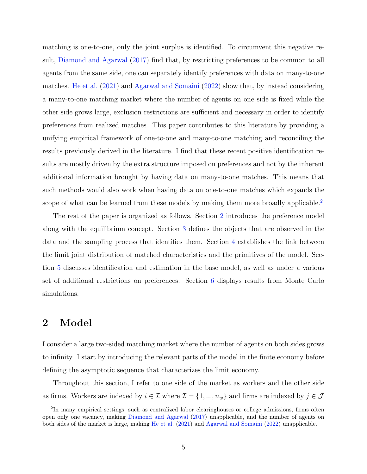matching is one-to-one, only the joint surplus is identified. To circumvent this negative result, [Diamond and Agarwal](#page-57-2) [\(2017\)](#page-57-2) find that, by restricting preferences to be common to all agents from the same side, one can separately identify preferences with data on many-to-one matches. [He et al.](#page-58-2) [\(2021\)](#page-58-2) and [Agarwal and Somaini](#page-57-4) [\(2022\)](#page-57-4) show that, by instead considering a many-to-one matching market where the number of agents on one side is fixed while the other side grows large, exclusion restrictions are sufficient and necessary in order to identify preferences from realized matches. This paper contributes to this literature by providing a unifying empirical framework of one-to-one and many-to-one matching and reconciling the results previously derived in the literature. I find that these recent positive identification results are mostly driven by the extra structure imposed on preferences and not by the inherent additional information brought by having data on many-to-one matches. This means that such methods would also work when having data on one-to-one matches which expands the scope of what can be learned from these models by making them more broadly applicable.<sup>[2](#page-5-0)</sup>

The rest of the paper is organized as follows. Section [2](#page-5-1) introduces the preference model along with the equilibrium concept. Section [3](#page-9-0) defines the objects that are observed in the data and the sampling process that identifies them. Section [4](#page-11-0) establishes the link between the limit joint distribution of matched characteristics and the primitives of the model. Section [5](#page-20-0) discusses identification and estimation in the base model, as well as under a various set of additional restrictions on preferences. Section [6](#page-25-0) displays results from Monte Carlo simulations.

# <span id="page-5-1"></span>2 Model

I consider a large two-sided matching market where the number of agents on both sides grows to infinity. I start by introducing the relevant parts of the model in the finite economy before defining the asymptotic sequence that characterizes the limit economy.

Throughout this section, I refer to one side of the market as workers and the other side as firms. Workers are indexed by  $i \in \mathcal{I}$  where  $\mathcal{I} = \{1, ..., n_w\}$  and firms are indexed by  $j \in \mathcal{J}$ 

<span id="page-5-0"></span><sup>&</sup>lt;sup>2</sup>In many empirical settings, such as centralized labor clearinghouses or college admissions, firms often open only one vacancy, making [Diamond and Agarwal](#page-57-2) [\(2017\)](#page-57-2) unapplicable, and the number of agents on both sides of the market is large, making [He et al.](#page-58-2) [\(2021\)](#page-58-2) and [Agarwal and Somaini](#page-57-4) [\(2022\)](#page-57-4) unapplicable.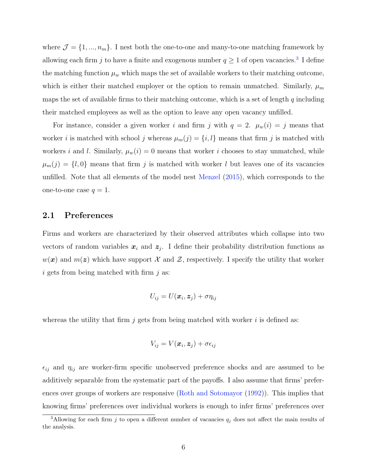where  $\mathcal{J} = \{1, ..., n_m\}$ . I nest both the one-to-one and many-to-one matching framework by allowing each firm j to have a finite and exogenous number  $q \ge 1$  of open vacancies.<sup>[3](#page-6-0)</sup> I define the matching function  $\mu_w$  which maps the set of available workers to their matching outcome, which is either their matched employer or the option to remain unmatched. Similarly,  $\mu_m$ maps the set of available firms to their matching outcome, which is a set of length q including their matched employees as well as the option to leave any open vacancy unfilled.

For instance, consider a given worker i and firm j with  $q = 2$ .  $\mu_w(i) = j$  means that worker *i* is matched with school *j* whereas  $\mu_m(j) = \{i, l\}$  means that firm *j* is matched with workers i and l. Similarly,  $\mu_w(i) = 0$  means that worker i chooses to stay unmatched, while  $\mu_m(j) = \{l, 0\}$  means that firm j is matched with worker l but leaves one of its vacancies unfilled. Note that all elements of the model nest [Menzel](#page-58-1) [\(2015\)](#page-58-1), which corresponds to the one-to-one case  $q = 1$ .

## 2.1 Preferences

Firms and workers are characterized by their observed attributes which collapse into two vectors of random variables  $x_i$  and  $z_j$ . I define their probability distribution functions as  $w(x)$  and  $m(z)$  which have support X and Z, respectively. I specify the utility that worker  $i$  gets from being matched with firm  $j$  as:

$$
U_{ij} = U(\boldsymbol{x}_i, \boldsymbol{z}_j) + \sigma \eta_{ij}
$$

whereas the utility that firm j gets from being matched with worker i is defined as:

$$
V_{ij} = V(\boldsymbol{x}_i, \boldsymbol{z}_j) + \sigma \epsilon_{ij}
$$

 $\epsilon_{ij}$  and  $\eta_{ij}$  are worker-firm specific unobserved preference shocks and are assumed to be additively separable from the systematic part of the payoffs. I also assume that firms' preferences over groups of workers are responsive [\(Roth and Sotomayor](#page-58-7) [\(1992\)](#page-58-7)). This implies that knowing firms' preferences over individual workers is enough to infer firms' preferences over

<span id="page-6-0"></span><sup>&</sup>lt;sup>3</sup>Allowing for each firm j to open a different number of vacancies  $q_j$  does not affect the main results of the analysis.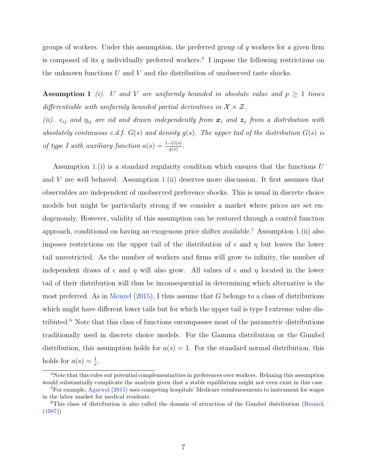groups of workers. Under this assumption, the preferred group of  $q$  workers for a given firm is composed of its q individually preferred workers.<sup>[4](#page-7-0)</sup> I impose the following restrictions on the unknown functions  $U$  and  $V$  and the distribution of unobserved taste shocks.

<span id="page-7-1"></span>Assumption 1 (i). U and V are uniformly bounded in absolute value and  $p \geq 1$  times differentiable with uniformly bounded partial derivatives in  $\mathcal{X} \times \mathcal{Z}$ .

(ii).  $\epsilon_{ij}$  and  $\eta_{ij}$  are iid and drawn independently from  $\boldsymbol{x}_i$  and  $\boldsymbol{z}_j$  from a distribution with absolutely continuous c.d.f.  $G(s)$  and density  $g(s)$ . The upper tail of the distribution  $G(s)$  is of type I with auxiliary function  $a(s) = \frac{1-G(s)}{g(s)}$ .

Assumption [1.](#page-7-1)(i) is a standard regularity condition which ensures that the functions  $U$ and V are well behaved. Assumption [1.](#page-7-1)(ii) deserves more discussion. It first assumes that observables are independent of unobserved preference shocks. This is usual in discrete choice models but might be particularly strong if we consider a market where prices are set endogenously. However, validity of this assumption can be restored through a control function approach, conditional on having an exogenous price shifter available.<sup>[5](#page-7-2)</sup> Assumption [1.](#page-7-1)(ii) also imposes restrictions on the upper tail of the distribution of  $\epsilon$  and  $\eta$  but leaves the lower tail unrestricted. As the number of workers and firms will grow to infinity, the number of independent draws of  $\epsilon$  and  $\eta$  will also grow. All values of  $\epsilon$  and  $\eta$  located in the lower tail of their distribution will thus be inconsequential in determining which alternative is the most preferred. As in [Menzel](#page-58-1)  $(2015)$ , I thus assume that G belongs to a class of distributions which might have different lower tails but for which the upper tail is type I extreme value dis-tributed.<sup>[6](#page-7-3)</sup> Note that this class of functions encompasses most of the parametric distributions traditionally used in discrete choice models. For the Gamma distribution or the Gumbel distribution, this assumption holds for  $a(s) = 1$ . For the standard normal distribution, this holds for  $a(s) = \frac{1}{s}$ .

<span id="page-7-0"></span><sup>&</sup>lt;sup>4</sup>Note that this rules out potential complementarities in preferences over workers. Relaxing this assumption would substantially complicate the analysis given that a stable equilibrium might not even exist in this case. <sup>5</sup>For example, [Agarwal](#page-57-9) [\(2015\)](#page-57-9) uses competing hospitals' Medicare reimbursements to instrument for wages

<span id="page-7-2"></span>in the labor market for medical residents.

<span id="page-7-3"></span><sup>6</sup>This class of distribution is also called the domain of attraction of the Gumbel distribution [\(Resnick](#page-58-8) [\(1987\)](#page-58-8))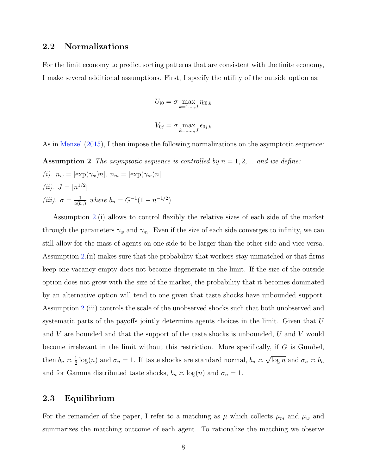## 2.2 Normalizations

For the limit economy to predict sorting patterns that are consistent with the finite economy, I make several additional assumptions. First, I specify the utility of the outside option as:

<span id="page-8-0"></span>
$$
U_{i0} = \sigma \max_{k=1,\dots,J} \eta_{i0,k}
$$

$$
V_{0j} = \sigma \max_{k=1,\dots,J} \epsilon_{0j,k}
$$

As in [Menzel](#page-58-1) [\(2015\)](#page-58-1), I then impose the following normalizations on the asymptotic sequence:

**Assumption 2** The asymptotic sequence is controlled by  $n = 1, 2, ...$  and we define: (i).  $n_w = [\exp(\gamma_w)n], n_m = [\exp(\gamma_m)n]$ (*ii*).  $J = [n^{1/2}]$ (iii).  $\sigma = \frac{1}{a(b)}$  $\frac{1}{a(b_n)}$  where  $b_n = G^{-1}(1 - n^{-1/2})$ 

Assumption [2.](#page-8-0)(i) allows to control flexibly the relative sizes of each side of the market through the parameters  $\gamma_w$  and  $\gamma_m$ . Even if the size of each side converges to infinity, we can still allow for the mass of agents on one side to be larger than the other side and vice versa. Assumption [2.](#page-8-0)(ii) makes sure that the probability that workers stay unmatched or that firms keep one vacancy empty does not become degenerate in the limit. If the size of the outside option does not grow with the size of the market, the probability that it becomes dominated by an alternative option will tend to one given that taste shocks have unbounded support. Assumption [2.](#page-8-0)(iii) controls the scale of the unobserved shocks such that both unobserved and systematic parts of the payoffs jointly determine agents choices in the limit. Given that U and  $V$  are bounded and that the support of the taste shocks is unbounded,  $U$  and  $V$  would become irrelevant in the limit without this restriction. More specifically, if  $G$  is Gumbel, then  $b_n \simeq \frac{1}{2}$  $\frac{1}{2}\log(n)$  and  $\sigma_n = 1$ . If taste shocks are standard normal,  $b_n \approx$ √  $\overline{\log n}$  and  $\sigma_n \asymp b_n$ and for Gamma distributed taste shocks,  $b_n \approx \log(n)$  and  $\sigma_n = 1$ .

## 2.3 Equilibrium

For the remainder of the paper, I refer to a matching as  $\mu$  which collects  $\mu_m$  and  $\mu_w$  and summarizes the matching outcome of each agent. To rationalize the matching we observe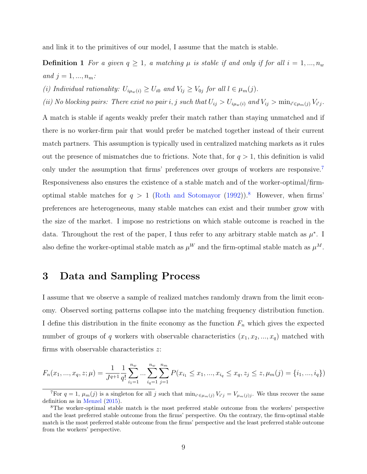and link it to the primitives of our model, I assume that the match is stable.

**Definition 1** For a given  $q \geq 1$ , a matching  $\mu$  is stable if and only if for all  $i = 1, ..., n_w$ and  $j = 1, ..., n_m$ :

(i) Individual rationality:  $U_{i\mu_w(i)} \geq U_{i0}$  and  $V_{lj} \geq V_{0j}$  for all  $l \in \mu_m(j)$ .

(ii) No blocking pairs: There exist no pair i, j such that  $U_{ij} > U_{i\mu_w(i)}$  and  $V_{ij} > \min_{i' \in \mu_m(j)} V_{i'j}$ .

A match is stable if agents weakly prefer their match rather than staying unmatched and if there is no worker-firm pair that would prefer be matched together instead of their current match partners. This assumption is typically used in centralized matching markets as it rules out the presence of mismatches due to frictions. Note that, for  $q > 1$ , this definition is valid only under the assumption that firms' preferences over groups of workers are responsive.[7](#page-9-1) Responsiveness also ensures the existence of a stable match and of the worker-optimal/firmoptimal stable matches for  $q > 1$  [\(Roth and Sotomayor](#page-58-7) [\(1992\)](#page-58-7)).<sup>[8](#page-9-2)</sup> However, when firms' preferences are heterogeneous, many stable matches can exist and their number grow with the size of the market. I impose no restrictions on which stable outcome is reached in the data. Throughout the rest of the paper, I thus refer to any arbitrary stable match as  $\mu^*$ . I also define the worker-optimal stable match as  $\mu^{W}$  and the firm-optimal stable match as  $\mu^{M}$ .

# <span id="page-9-0"></span>3 Data and Sampling Process

I assume that we observe a sample of realized matches randomly drawn from the limit economy. Observed sorting patterns collapse into the matching frequency distribution function. I define this distribution in the finite economy as the function  $F_n$  which gives the expected number of groups of q workers with observable characteristics  $(x_1, x_2, ..., x_q)$  matched with firms with observable characteristics z:

$$
F_n(x_1, ..., x_q, z; \mu) = \frac{1}{J^{q+1}} \frac{1}{q!} \sum_{i_1=1}^{n_w} ... \sum_{i_q=1}^{n_w} \sum_{j=1}^{n_m} P(x_{i_1} \le x_1, ..., x_{i_q} \le x_q, z_j \le z, \mu_m(j) = \{i_1, ..., i_q\})
$$

<span id="page-9-1"></span><sup>&</sup>lt;sup>7</sup>For  $q = 1$ ,  $\mu_m(j)$  is a singleton for all j such that  $\min_{i' \in \mu_m(j)} V_{i'j} = V_{\mu_m(j)j}$ . We thus recover the same definition as in [Menzel](#page-58-1) [\(2015\)](#page-58-1).

<span id="page-9-2"></span><sup>8</sup>The worker-optimal stable match is the most preferred stable outcome from the workers' perspective and the least preferred stable outcome from the firms' perspective. On the contrary, the firm-optimal stable match is the most preferred stable outcome from the firms' perspective and the least preferred stable outcome from the workers' perspective.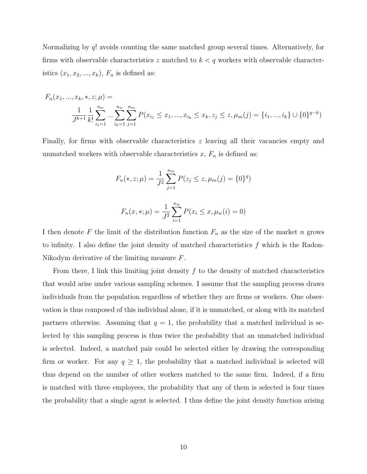Normalizing by q! avoids counting the same matched group several times. Alternatively, for firms with observable characteristics z matched to  $k < q$  workers with observable characteristics  $(x_1, x_2, ..., x_k)$ ,  $F_n$  is defined as:

$$
F_n(x_1, ..., x_k, *, z; \mu) =
$$
  

$$
\frac{1}{J^{k+1}} \frac{1}{k!} \sum_{i_1=1}^{n_w} ... \sum_{i_k=1}^{n_w} \sum_{j=1}^{n_m} P(x_{i_1} \le x_1, ..., x_{i_k} \le x_k, z_j \le z, \mu_m(j) = \{i_1, ..., i_k\} \cup \{0\}^{q-k})
$$

Finally, for firms with observable characteristics  $z$  leaving all their vacancies empty and unmatched workers with observable characteristics  $x, F_n$  is defined as:

$$
F_n(*, z; \mu) = \frac{1}{J^2} \sum_{j=1}^{n_m} P(z_j \le z, \mu_m(j) = \{0\}^q)
$$

$$
F_n(x, *, \mu) = \frac{1}{J^2} \sum_{i=1}^{n_w} P(x_i \le x, \mu_w(i) = 0)
$$

I then denote F the limit of the distribution function  $F_n$  as the size of the market n grows to infinity. I also define the joint density of matched characteristics  $f$  which is the Radon-Nikodym derivative of the limiting measure F.

From there, I link this limiting joint density  $f$  to the density of matched characteristics that would arise under various sampling schemes. I assume that the sampling process draws individuals from the population regardless of whether they are firms or workers. One observation is thus composed of this individual alone, if it is unmatched, or along with its matched partners otherwise. Assuming that  $q = 1$ , the probability that a matched individual is selected by this sampling process is thus twice the probability that an unmatched individual is selected. Indeed, a matched pair could be selected either by drawing the corresponding firm or worker. For any  $q \geq 1$ , the probability that a matched individual is selected will thus depend on the number of other workers matched to the same firm. Indeed, if a firm is matched with three employees, the probability that any of them is selected is four times the probability that a single agent is selected. I thus define the joint density function arising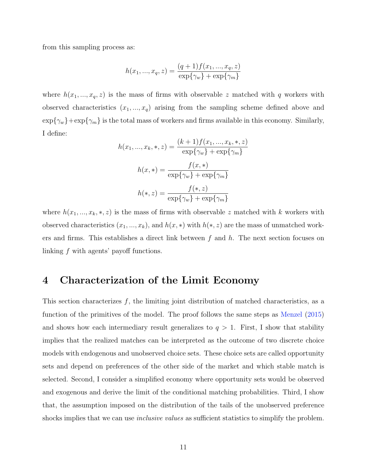from this sampling process as:

$$
h(x_1, ..., x_q, z) = \frac{(q+1)f(x_1, ..., x_q, z)}{\exp{\{\gamma_w\}} + \exp{\{\gamma_m\}}}
$$

where  $h(x_1, ..., x_q, z)$  is the mass of firms with observable z matched with q workers with observed characteristics  $(x_1, ..., x_q)$  arising from the sampling scheme defined above and  $\exp{\{\gamma_w\}} + \exp{\{\gamma_m\}}$  is the total mass of workers and firms available in this economy. Similarly, I define:

$$
h(x_1, ..., x_k, *, z) = \frac{(k+1)f(x_1, ..., x_k, *, z)}{\exp{\gamma_w} + \exp{\gamma_m}}
$$

$$
h(x, *) = \frac{f(x, *)}{\exp{\gamma_w} + \exp{\gamma_m}}
$$

$$
h(*, z) = \frac{f(*, z)}{\exp{\gamma_w} + \exp{\gamma_m}}
$$

where  $h(x_1, ..., x_k, *, z)$  is the mass of firms with observable z matched with k workers with observed characteristics  $(x_1, ..., x_k)$ , and  $h(x, *)$  with  $h(*, z)$  are the mass of unmatched workers and firms. This establishes a direct link between  $f$  and  $h$ . The next section focuses on linking f with agents' payoff functions.

# <span id="page-11-0"></span>4 Characterization of the Limit Economy

This section characterizes  $f$ , the limiting joint distribution of matched characteristics, as a function of the primitives of the model. The proof follows the same steps as [Menzel](#page-58-1) [\(2015\)](#page-58-1) and shows how each intermediary result generalizes to  $q > 1$ . First, I show that stability implies that the realized matches can be interpreted as the outcome of two discrete choice models with endogenous and unobserved choice sets. These choice sets are called opportunity sets and depend on preferences of the other side of the market and which stable match is selected. Second, I consider a simplified economy where opportunity sets would be observed and exogenous and derive the limit of the conditional matching probabilities. Third, I show that, the assumption imposed on the distribution of the tails of the unobserved preference shocks implies that we can use *inclusive values* as sufficient statistics to simplify the problem.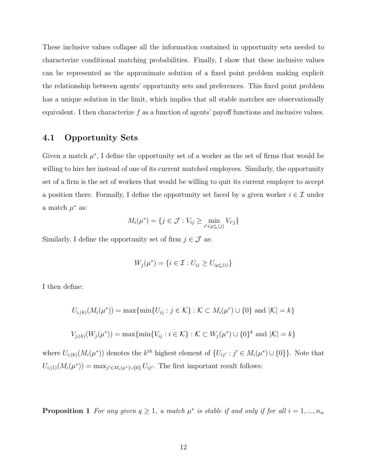These inclusive values collapse all the information contained in opportunity sets needed to characterize conditional matching probabilities. Finally, I show that these inclusive values can be represented as the approximate solution of a fixed point problem making explicit the relationship between agents' opportunity sets and preferences. This fixed point problem has a unique solution in the limit, which implies that all stable matches are observationally equivalent. I then characterize  $f$  as a function of agents' payoff functions and inclusive values.

# 4.1 Opportunity Sets

Given a match  $\mu^*$ , I define the opportunity set of a worker as the set of firms that would be willing to hire her instead of one of its current matched employees. Similarly, the opportunity set of a firm is the set of workers that would be willing to quit its current employer to accept a position there. Formally, I define the opportunity set faced by a given worker  $i \in \mathcal{I}$  under a match  $\mu^*$  as:

$$
M_i(\mu^*) = \{ j \in \mathcal{J} : V_{ij} \ge \min_{i' \in \mu^*_m(j)} V_{i'j} \}
$$

Similarly, I define the opportunity set of firm  $j \in \mathcal{J}$  as:

$$
W_j(\mu^*) = \{ i \in \mathcal{I} : U_{ij} \ge U_{i\mu^*_{w}(i)} \}
$$

I then define:

$$
U_{i,(k)}(M_i(\mu^*)) = \max\{\min\{U_{ij} : j \in \mathcal{K}\} : \mathcal{K} \subset M_i(\mu^*) \cup \{0\} \text{ and } |\mathcal{K}| = k\}
$$

$$
V_{j,(k)}(W_j(\mu^*)) = \max\{\min\{V_{ij} : i \in \mathcal{K}\} : \mathcal{K} \subset W_j(\mu^*) \cup \{0\}^k \text{ and } |\mathcal{K}| = k\}
$$

where  $U_{i,(k)}(M_i(\mu^*))$  denotes the  $k^{th}$  highest element of  $\{U_{ij'} : j' \in M_i(\mu^*) \cup \{0\}\}\.$  Note that  $U_{i,(1)}(M_i(\mu^*)) = \max_{j' \in M_i(\mu^*) \cup \{0\}} U_{ij'}$ . The first important result follows:

<span id="page-12-0"></span>**Proposition 1** For any given  $q \geq 1$ , a match  $\mu^*$  is stable if and only if for all  $i = 1, ..., n_w$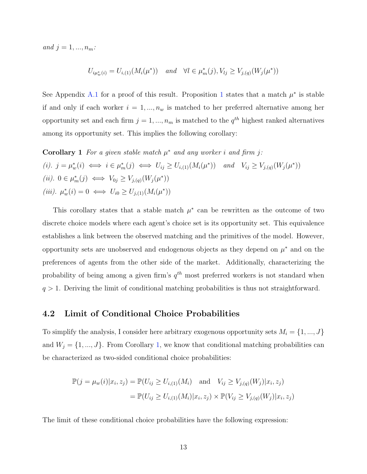and  $j = 1, ..., n_m$ :

<span id="page-13-0"></span>
$$
U_{i\mu_w^*(i)} = U_{i,(1)}(M_i(\mu^*)) \quad \text{and} \quad \forall l \in \mu_m^*(j), V_{lj} \ge V_{j,(q)}(W_j(\mu^*))
$$

See Appendix [A.1](#page-31-0) for a proof of this result. Proposition [1](#page-12-0) states that a match  $\mu^*$  is stable if and only if each worker  $i = 1, ..., n_w$  is matched to her preferred alternative among her opportunity set and each firm  $j = 1, ..., n_m$  is matched to the  $q^{th}$  highest ranked alternatives among its opportunity set. This implies the following corollary:

Corollary 1 For a given stable match  $\mu^*$  and any worker i and firm j: (i).  $j = \mu_w^*(i) \iff i \in \mu_m^*(j) \iff U_{ij} \geq U_{i,(1)}(M_i(\mu^*)) \text{ and } V_{ij} \geq V_{j,(q)}(W_j(\mu^*))$ (*ii*).  $0 \in \mu_m^*(j) \iff V_{0j} \geq V_{j,(q)}(W_j(\mu^*))$ (*iii*).  $\mu_w^*(i) = 0 \iff U_{i0} \ge U_{j,(1)}(M_i(\mu^*))$ 

This corollary states that a stable match  $\mu^*$  can be rewritten as the outcome of two discrete choice models where each agent's choice set is its opportunity set. This equivalence establishes a link between the observed matching and the primitives of the model. However, opportunity sets are unobserved and endogenous objects as they depend on  $\mu^*$  and on the preferences of agents from the other side of the market. Additionally, characterizing the probability of being among a given firm's  $q^{th}$  most preferred workers is not standard when  $q > 1$ . Deriving the limit of conditional matching probabilities is thus not straightforward.

## 4.2 Limit of Conditional Choice Probabilities

To simplify the analysis, I consider here arbitrary exogenous opportunity sets  $M_i = \{1, ..., J\}$ and  $W_j = \{1, ..., J\}$  $W_j = \{1, ..., J\}$  $W_j = \{1, ..., J\}$ . From Corollary 1, we know that conditional matching probabilities can be characterized as two-sided conditional choice probabilities:

$$
\mathbb{P}(j = \mu_w(i)|x_i, z_j) = \mathbb{P}(U_{ij} \ge U_{i,(1)}(M_i) \text{ and } V_{ij} \ge V_{j,(q)}(W_j)|x_i, z_j)
$$
  
= 
$$
\mathbb{P}(U_{ij} \ge U_{i,(1)}(M_i)|x_i, z_j) \times \mathbb{P}(V_{ij} \ge V_{j,(q)}(W_j)|x_i, z_j)
$$

<span id="page-13-1"></span>The limit of these conditional choice probabilities have the following expression: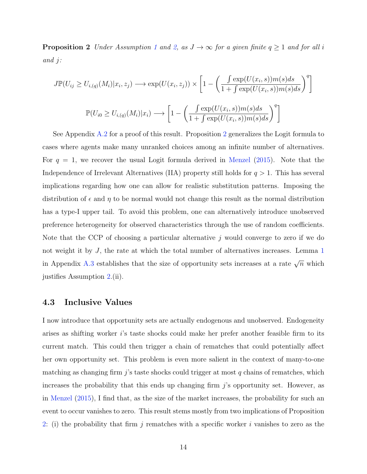**Proposition 2** Under Assumption [1](#page-7-1) and [2,](#page-8-0) as  $J \to \infty$  for a given finite  $q \ge 1$  and for all i and j:

$$
J\mathbb{P}(U_{ij} \ge U_{i,(q)}(M_i)|x_i, z_j) \longrightarrow \exp(U(x_i, z_j)) \times \left[1 - \left(\frac{\int \exp(U(x_i, s))m(s)ds}{1 + \int \exp(U(x_i, s))m(s)ds}\right)^q\right]
$$

$$
\mathbb{P}(U_{i0} \ge U_{i,(q)}(M_i)|x_i) \longrightarrow \left[1 - \left(\frac{\int \exp(U(x_i, s))m(s)ds}{1 + \int \exp(U(x_i, s))m(s)ds}\right)^q\right]
$$

See Appendix [A.2](#page-31-1) for a proof of this result. Proposition [2](#page-13-1) generalizes the Logit formula to cases where agents make many unranked choices among an infinite number of alternatives. For  $q = 1$ , we recover the usual Logit formula derived in [Menzel](#page-58-1) [\(2015\)](#page-58-1). Note that the Independence of Irrelevant Alternatives (IIA) property still holds for  $q > 1$ . This has several implications regarding how one can allow for realistic substitution patterns. Imposing the distribution of  $\epsilon$  and  $\eta$  to be normal would not change this result as the normal distribution has a type-I upper tail. To avoid this problem, one can alternatively introduce unobserved preference heterogeneity for observed characteristics through the use of random coefficients. Note that the CCP of choosing a particular alternative  $j$  would converge to zero if we do not weight it by J, the rate at which the total number of alternatives increases. Lemma [1](#page-39-0) in Appendix [A.3](#page-36-0) establishes that the size of opportunity sets increases at a rate  $\sqrt{n}$  which justifies Assumption [2.](#page-8-0)(ii).

#### 4.3 Inclusive Values

I now introduce that opportunity sets are actually endogenous and unobserved. Endogeneity arises as shifting worker i's taste shocks could make her prefer another feasible firm to its current match. This could then trigger a chain of rematches that could potentially affect her own opportunity set. This problem is even more salient in the context of many-to-one matching as changing firm  $j$ 's taste shocks could trigger at most q chains of rematches, which increases the probability that this ends up changing firm  $j$ 's opportunity set. However, as in [Menzel](#page-58-1) [\(2015\)](#page-58-1), I find that, as the size of the market increases, the probability for such an event to occur vanishes to zero. This result stems mostly from two implications of Proposition [2:](#page-13-1) (i) the probability that firm j rematches with a specific worker i vanishes to zero as the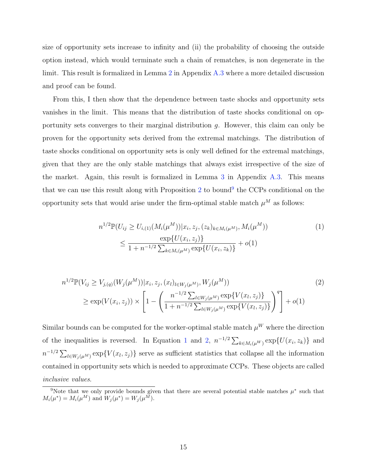size of opportunity sets increase to infinity and (ii) the probability of choosing the outside option instead, which would terminate such a chain of rematches, is non degenerate in the limit. This result is formalized in Lemma [2](#page-42-0) in Appendix [A.3](#page-36-0) where a more detailed discussion and proof can be found.

From this, I then show that the dependence between taste shocks and opportunity sets vanishes in the limit. This means that the distribution of taste shocks conditional on opportunity sets converges to their marginal distribution g. However, this claim can only be proven for the opportunity sets derived from the extremal matchings. The distribution of taste shocks conditional on opportunity sets is only well defined for the extremal matchings, given that they are the only stable matchings that always exist irrespective of the size of the market. Again, this result is formalized in Lemma [3](#page-45-0) in Appendix [A.3.](#page-36-0) This means that we can use this result along with Proposition [2](#page-13-1) to bound<sup>[9](#page-15-0)</sup> the CCPs conditional on the opportunity sets that would arise under the firm-optimal stable match  $\mu^M$  as follows:

<span id="page-15-2"></span><span id="page-15-1"></span>
$$
n^{1/2} \mathbb{P}(U_{ij} \ge U_{i,(1)}(M_i(\mu^M)) | x_i, z_j, (z_k)_{k \in M_i(\mu^M)}, M_i(\mu^M))
$$
  
\n
$$
\le \frac{\exp\{U(x_i, z_j)\}}{1 + n^{-1/2} \sum_{k \in M_i(\mu^M)} \exp\{U(x_i, z_k)\}} + o(1)
$$
\n(1)

$$
n^{1/2} \mathbb{P}(V_{ij} \ge V_{j,(q)}(W_j(\mu^M)) | x_i, z_j, (x_l)_{l \in W_j(\mu^M)}, W_j(\mu^M))
$$
\n
$$
\ge \exp(V(x_i, z_j)) \times \left[1 - \left(\frac{n^{-1/2} \sum_{l \in W_j(\mu^M)} \exp\{V(x_l, z_j)\}}{1 + n^{-1/2} \sum_{l \in W_j(\mu^M)} \exp\{V(x_l, z_j)\}}\right)^q\right] + o(1)
$$
\n(2)

Similar bounds can be computed for the worker-optimal stable match  $\mu^W$  where the direction of the inequalities is reversed. In Equation [1](#page-15-1) and [2,](#page-15-2)  $n^{-1/2} \sum_{k \in M_i(\mu^W)} \exp\{U(x_i, z_k)\}\$  and  $n^{-1/2} \sum_{l \in W_j(\mu^M)} \exp\{V(x_l, z_j)\}\$  serve as sufficient statistics that collapse all the information contained in opportunity sets which is needed to approximate CCPs. These objects are called inclusive values.

<span id="page-15-0"></span><sup>&</sup>lt;sup>9</sup>Note that we only provide bounds given that there are several potential stable matches  $\mu^*$  such that  $M_i(\mu^*) = M_i(\mu^M)$  and  $W_j(\mu^*) = W_j(\mu^M)$ .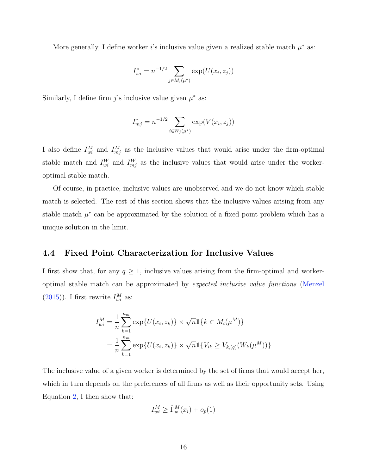More generally, I define worker i's inclusive value given a realized stable match  $\mu^*$  as:

$$
I_{wi}^* = n^{-1/2} \sum_{j \in M_i(\mu^*)} \exp(U(x_i, z_j))
$$

Similarly, I define firm j's inclusive value given  $\mu^*$  as:

$$
I_{mj}^* = n^{-1/2} \sum_{i \in W_j(\mu^*)} \exp(V(x_i, z_j))
$$

I also define  $I_{wi}^M$  and  $I_{mj}^M$  as the inclusive values that would arise under the firm-optimal stable match and  $I_{wi}^W$  and  $I_{mj}^W$  as the inclusive values that would arise under the workeroptimal stable match.

Of course, in practice, inclusive values are unobserved and we do not know which stable match is selected. The rest of this section shows that the inclusive values arising from any stable match  $\mu^*$  can be approximated by the solution of a fixed point problem which has a unique solution in the limit.

## 4.4 Fixed Point Characterization for Inclusive Values

I first show that, for any  $q \geq 1$ , inclusive values arising from the firm-optimal and workeroptimal stable match can be approximated by expected inclusive value functions [\(Menzel](#page-58-1)  $(2015)$ ). I first rewrite  $I_{wi}^M$  as:

$$
I_{wi}^{M} = \frac{1}{n} \sum_{k=1}^{n_m} \exp\{U(x_i, z_k)\} \times \sqrt{n} \mathbb{1}\{k \in M_i(\mu^M)\}
$$
  
= 
$$
\frac{1}{n} \sum_{k=1}^{n_m} \exp\{U(x_i, z_k)\} \times \sqrt{n} \mathbb{1}\{V_{ik} \ge V_{k,(q)}(W_k(\mu^M))\}
$$

The inclusive value of a given worker is determined by the set of firms that would accept her, which in turn depends on the preferences of all firms as well as their opportunity sets. Using Equation [2,](#page-15-2) I then show that:

$$
I_{wi}^M \ge \hat{\Gamma}_w^M(x_i) + o_p(1)
$$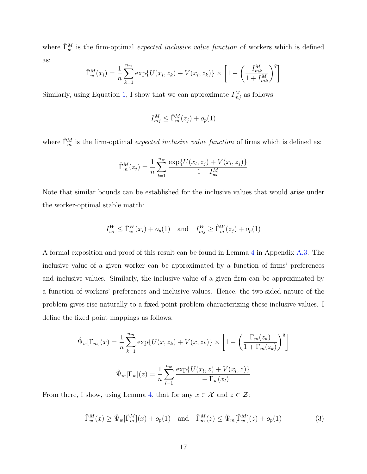where  $\hat{\Gamma}_w^M$  is the firm-optimal expected inclusive value function of workers which is defined as:

$$
\hat{\Gamma}_{w}^{M}(x_{i}) = \frac{1}{n} \sum_{k=1}^{n_{m}} \exp \{ U(x_{i}, z_{k}) + V(x_{i}, z_{k}) \} \times \left[ 1 - \left( \frac{I_{mk}^{M}}{1 + I_{mk}^{M}} \right)^{q} \right]
$$

Similarly, using Equation [1,](#page-15-1) I show that we can approximate  $I_{mj}^M$  as follows:

$$
I_{mj}^M \leq \hat{\Gamma}_m^M(z_j) + o_p(1)
$$

where  $\hat{\Gamma}_m^M$  is the firm-optimal *expected inclusive value function* of firms which is defined as:

$$
\hat{\Gamma}_m^M(z_j) = \frac{1}{n} \sum_{l=1}^{n_w} \frac{\exp\{U(x_l, z_j) + V(x_l, z_j)\}}{1 + I_{wl}^M}
$$

Note that similar bounds can be established for the inclusive values that would arise under the worker-optimal stable match:

$$
I_{wi}^W \leq \hat{\Gamma}_w^W(x_i) + o_p(1) \quad \text{and} \quad I_{mj}^W \geq \hat{\Gamma}_m^W(z_j) + o_p(1)
$$

A formal exposition and proof of this result can be found in Lemma [4](#page-47-0) in Appendix [A.3.](#page-36-0) The inclusive value of a given worker can be approximated by a function of firms' preferences and inclusive values. Similarly, the inclusive value of a given firm can be approximated by a function of workers' preferences and inclusive values. Hence, the two-sided nature of the problem gives rise naturally to a fixed point problem characterizing these inclusive values. I define the fixed point mappings as follows:

$$
\hat{\Psi}_w[\Gamma_m](x) = \frac{1}{n} \sum_{k=1}^{n_m} \exp\{U(x, z_k) + V(x, z_k)\} \times \left[1 - \left(\frac{\Gamma_m(z_k)}{1 + \Gamma_m(z_k)}\right)^q\right]
$$

$$
\hat{\Psi}_m[\Gamma_w](z) = \frac{1}{n} \sum_{l=1}^{n_w} \frac{\exp\{U(x_l, z) + V(x_l, z)\}}{1 + \Gamma_w(x_l)}
$$

From there, I show, using Lemma [4,](#page-47-0) that for any  $x \in \mathcal{X}$  and  $z \in \mathcal{Z}$ :

<span id="page-17-0"></span>
$$
\widehat{\Gamma}^M_w(x) \ge \widehat{\Psi}_w[\widehat{\Gamma}^M_m](x) + o_p(1) \quad \text{and} \quad \widehat{\Gamma}^M_m(z) \le \widehat{\Psi}_m[\widehat{\Gamma}^M_w](z) + o_p(1) \tag{3}
$$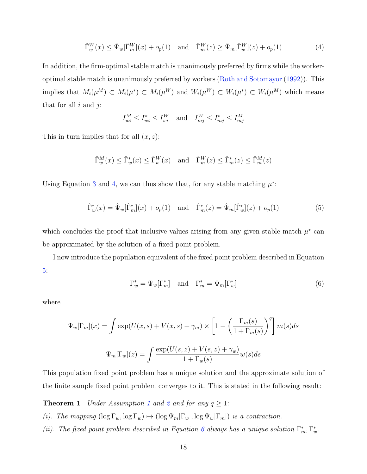<span id="page-18-0"></span>
$$
\hat{\Gamma}_w^W(x) \le \hat{\Psi}_w[\hat{\Gamma}_m^W](x) + o_p(1) \quad \text{and} \quad \hat{\Gamma}_m^W(z) \ge \hat{\Psi}_m[\hat{\Gamma}_w^W](z) + o_p(1) \tag{4}
$$

In addition, the firm-optimal stable match is unanimously preferred by firms while the workeroptimal stable match is unanimously preferred by workers [\(Roth and Sotomayor](#page-58-7) [\(1992\)](#page-58-7)). This implies that  $M_i(\mu^M) \subset M_i(\mu^*) \subset M_i(\mu^W)$  and  $W_i(\mu^W) \subset W_i(\mu^*) \subset W_i(\mu^M)$  which means that for all  $i$  and  $j$ :

$$
I^M_{wi} \le I^*_{wi} \le I^W_{wi} \quad \text{and} \quad I^W_{mj} \le I^*_{mj} \le I^M_{mj}
$$

This in turn implies that for all  $(x, z)$ :

$$
\widehat{\Gamma}^M_w(x) \le \widehat{\Gamma}^*_w(x) \le \widehat{\Gamma}^W_w(x) \quad \text{and} \quad \widehat{\Gamma}^W_m(z) \le \widehat{\Gamma}^*_m(z) \le \widehat{\Gamma}^M_m(z)
$$

Using Equation [3](#page-17-0) and [4,](#page-18-0) we can thus show that, for any stable matching  $\mu^*$ :

<span id="page-18-1"></span>
$$
\hat{\Gamma}^*_{w}(x) = \hat{\Psi}_{w}[\hat{\Gamma}^*_{m}](x) + o_p(1) \quad \text{and} \quad \hat{\Gamma}^*_{m}(z) = \hat{\Psi}_{m}[\hat{\Gamma}^*_{w}](z) + o_p(1) \tag{5}
$$

which concludes the proof that inclusive values arising from any given stable match  $\mu^*$  can be approximated by the solution of a fixed point problem.

I now introduce the population equivalent of the fixed point problem described in Equation [5:](#page-18-1)

<span id="page-18-2"></span>
$$
\Gamma_w^* = \Psi_w[\Gamma_m^*] \quad \text{and} \quad \Gamma_m^* = \Psi_m[\Gamma_w^*]
$$
 (6)

where

$$
\Psi_w[\Gamma_m](x) = \int \exp(U(x, s) + V(x, s) + \gamma_m) \times \left[1 - \left(\frac{\Gamma_m(s)}{1 + \Gamma_m(s)}\right)^q\right] m(s)ds
$$

$$
\Psi_m[\Gamma_w](z) = \int \frac{\exp(U(s, z) + V(s, z) + \gamma_w)}{1 + \Gamma_w(s)} w(s)ds
$$

This population fixed point problem has a unique solution and the approximate solution of the finite sample fixed point problem converges to it. This is stated in the following result:

<span id="page-18-3"></span>**Theorem [1](#page-7-1)** Under Assumption 1 and [2](#page-8-0) and for any  $q \ge 1$ :

- (i). The mapping  $(\log \Gamma_w, \log \Gamma_w) \mapsto (\log \Psi_m[\Gamma_w], \log \Psi_w[\Gamma_m])$  is a contraction.
- (ii). The fixed point problem described in Equation [6](#page-18-2) always has a unique solution  $\Gamma_m^*, \Gamma_w^*$ .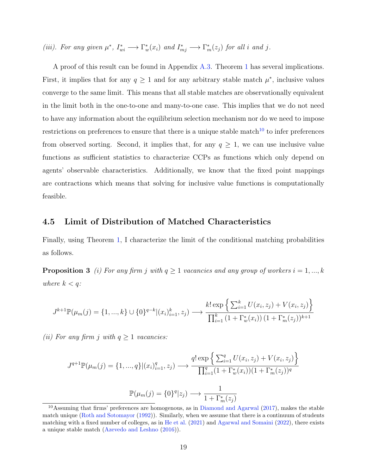(iii). For any given  $\mu^*$ ,  $I^*_{wi} \longrightarrow \Gamma^*_{w}(x_i)$  and  $I^*_{mj} \longrightarrow \Gamma^*_{m}(z_j)$  for all i and j.

A proof of this result can be found in Appendix [A.3.](#page-36-0) Theorem [1](#page-18-3) has several implications. First, it implies that for any  $q \ge 1$  and for any arbitrary stable match  $\mu^*$ , inclusive values converge to the same limit. This means that all stable matches are observationally equivalent in the limit both in the one-to-one and many-to-one case. This implies that we do not need to have any information about the equilibrium selection mechanism nor do we need to impose restrictions on preferences to ensure that there is a unique stable match<sup>[10](#page-19-0)</sup> to infer preferences from observed sorting. Second, it implies that, for any  $q \geq 1$ , we can use inclusive value functions as sufficient statistics to characterize CCPs as functions which only depend on agents' observable characteristics. Additionally, we know that the fixed point mappings are contractions which means that solving for inclusive value functions is computationally feasible.

# 4.5 Limit of Distribution of Matched Characteristics

<span id="page-19-1"></span>Finally, using Theorem [1,](#page-18-3) I characterize the limit of the conditional matching probabilities as follows.

**Proposition 3** (i) For any firm j with  $q \ge 1$  vacancies and any group of workers  $i = 1, ..., k$ where  $k < q$ :

$$
J^{k+1}\mathbb{P}(\mu_m(j) = \{1, ..., k\} \cup \{0\}^{q-k} | (x_i)_{i=1}^k, z_j) \longrightarrow \frac{k! \exp\left\{\sum_{i=1}^k U(x_i, z_j) + V(x_i, z_j)\right\}}{\prod_{i=1}^k (1 + \Gamma_w^*(x_i)) (1 + \Gamma_m^*(z_j))^{k+1}}
$$

(ii) For any firm j with  $q \ge 1$  vacancies:

$$
J^{q+1}\mathbb{P}(\mu_m(j) = \{1, ..., q\} | (x_i)_{i=1}^q, z_j) \longrightarrow \frac{q! \exp\left\{ \sum_{i=1}^q U(x_i, z_j) + V(x_i, z_j) \right\}}{\prod_{i=1}^q (1 + \Gamma_w^*(x_i))(1 + \Gamma_m^*(z_j))^q}
$$

$$
\mathbb{P}(\mu_m(j) = \{0\}^q | z_j) \longrightarrow \frac{1}{1 + \Gamma_m^*(z_j)}
$$

<span id="page-19-0"></span><sup>10</sup>Assuming that firms' preferences are homogenous, as in [Diamond and Agarwal](#page-57-2) [\(2017\)](#page-57-2), makes the stable match unique [\(Roth and Sotomayor](#page-58-7) [\(1992\)](#page-58-7)). Similarly, when we assume that there is a continuum of students matching with a fixed number of colleges, as in [He et al.](#page-58-2) [\(2021\)](#page-58-2) and [Agarwal and Somaini](#page-57-4) [\(2022\)](#page-57-4), there exists a unique stable match [\(Azevedo and Leshno](#page-57-10) [\(2016\)](#page-57-10)).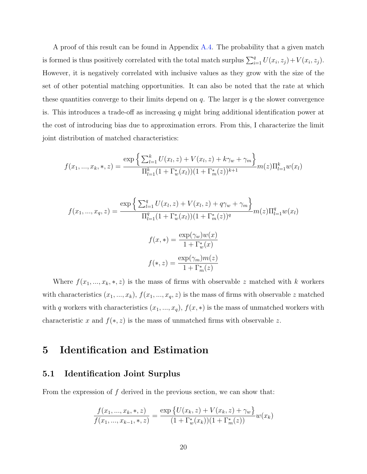A proof of this result can be found in Appendix [A.4.](#page-53-0) The probability that a given match is formed is thus positively correlated with the total match surplus  $\sum_{i=1}^{q} U(x_i, z_j) + V(x_i, z_j)$ . However, it is negatively correlated with inclusive values as they grow with the size of the set of other potential matching opportunities. It can also be noted that the rate at which these quantities converge to their limits depend on  $q$ . The larger is q the slower convergence is. This introduces a trade-off as increasing  $q$  might bring additional identification power at the cost of introducing bias due to approximation errors. From this, I characterize the limit joint distribution of matched characteristics:

$$
f(x_1, ..., x_k, *, z) = \frac{\exp\left\{\sum_{l=1}^k U(x_l, z) + V(x_l, z) + k\gamma_w + \gamma_m\right\}}{\prod_{l=1}^k (1 + \Gamma_w^*(x_l))(1 + \Gamma_m^*(z))^{k+1}} m(z) \Pi_{l=1}^k w(x_l)
$$

$$
f(x_1, ..., x_q, z) = \frac{\exp\left\{\sum_{l=1}^q U(x_l, z) + V(x_l, z) + q\gamma_w + \gamma_m\right\}}{\prod_{l=1}^q (1 + \Gamma_w^*(x_l))(1 + \Gamma_m^*(z))^q} m(z)\Pi_{l=1}^q w(x_l)
$$

$$
f(x, *) = \frac{\exp(\gamma_w)w(x)}{1 + \Gamma_w^*(x)}
$$

$$
f(*, z) = \frac{\exp(\gamma_m)m(z)}{1 + \Gamma_m^*(z)}
$$

Where  $f(x_1, ..., x_k, *, z)$  is the mass of firms with observable z matched with k workers with characteristics  $(x_1, ..., x_k)$ ,  $f(x_1, ..., x_q, z)$  is the mass of firms with observable z matched with q workers with characteristics  $(x_1, ..., x_q)$ ,  $f(x, *)$  is the mass of unmatched workers with characteristic x and  $f(*, z)$  is the mass of unmatched firms with observable z.

# <span id="page-20-0"></span>5 Identification and Estimation

# 5.1 Identification Joint Surplus

From the expression of  $f$  derived in the previous section, we can show that:

$$
\frac{f(x_1, ..., x_k, *, z)}{f(x_1, ..., x_{k-1}, *, z)} = \frac{\exp \{U(x_k, z) + V(x_k, z) + \gamma_w\}}{(1 + \Gamma_w^*(x_k))(1 + \Gamma_m^*(z))} w(x_k)
$$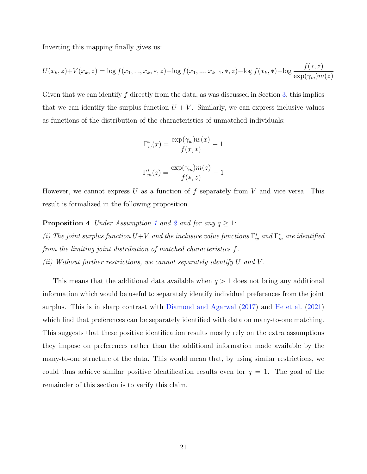Inverting this mapping finally gives us:

$$
U(x_k, z) + V(x_k, z) = \log f(x_1, ..., x_k, *, z) - \log f(x_1, ..., x_{k-1}, *, z) - \log f(x_k, *) - \log \frac{f(*, z)}{\exp(\gamma_m)m(z)}
$$

Given that we can identify  $f$  directly from the data, as was discussed in Section [3,](#page-9-0) this implies that we can identify the surplus function  $U + V$ . Similarly, we can express inclusive values as functions of the distribution of the characteristics of unmatched individuals:

$$
\Gamma_w^*(x) = \frac{\exp(\gamma_w)w(x)}{f(x,*)} - 1
$$

$$
\Gamma_m^*(z) = \frac{\exp(\gamma_m)m(z)}{f(x, z)} - 1
$$

However, we cannot express U as a function of f separately from V and vice versa. This result is formalized in the following proposition.

**Proposition 4** Under Assumption [1](#page-7-1) and [2](#page-8-0) and for any  $q \geq 1$ : (i) The joint surplus function  $U+V$  and the inclusive value functions  $\Gamma_w^*$  and  $\Gamma_m^*$  are identified from the limiting joint distribution of matched characteristics f. (ii) Without further restrictions, we cannot separately identify  $U$  and  $V$ .

This means that the additional data available when  $q > 1$  does not bring any additional information which would be useful to separately identify individual preferences from the joint surplus. This is in sharp contrast with [Diamond and Agarwal](#page-57-2) [\(2017\)](#page-57-2) and [He et al.](#page-58-2) [\(2021\)](#page-58-2) which find that preferences can be separately identified with data on many-to-one matching. This suggests that these positive identification results mostly rely on the extra assumptions they impose on preferences rather than the additional information made available by the many-to-one structure of the data. This would mean that, by using similar restrictions, we could thus achieve similar positive identification results even for  $q = 1$ . The goal of the remainder of this section is to verify this claim.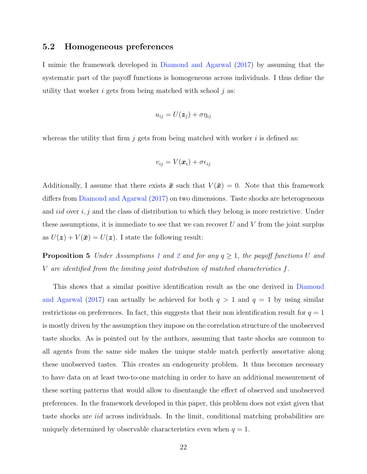#### 5.2 Homogeneous preferences

I mimic the framework developed in [Diamond and Agarwal](#page-57-2) [\(2017\)](#page-57-2) by assuming that the systematic part of the payoff functions is homogeneous across individuals. I thus define the utility that worker i gets from being matched with school  $i$  as:

$$
u_{ij} = U(\boldsymbol{z}_j) + \sigma \eta_{ij}
$$

whereas the utility that firm  $j$  gets from being matched with worker  $i$  is defined as:

$$
v_{ij} = V(\boldsymbol{x}_i) + \sigma \epsilon_{ij}
$$

Additionally, I assume that there exists  $\bar{x}$  such that  $V(\bar{x}) = 0$ . Note that this framework differs from [Diamond and Agarwal](#page-57-2) [\(2017\)](#page-57-2) on two dimensions. Taste shocks are heterogeneous and *iid* over  $i, j$  and the class of distribution to which they belong is more restrictive. Under these assumptions, it is immediate to see that we can recover  $U$  and  $V$  from the joint surplus as  $U(z) + V(\bar{x}) = U(z)$ . I state the following result:

**Proposition 5** Under Assumptions [1](#page-7-1) and [2](#page-8-0) and for any  $q \geq 1$ , the payoff functions U and V are identified from the limiting joint distribution of matched characteristics f.

This shows that a similar positive identification result as the one derived in [Diamond](#page-57-2) [and Agarwal](#page-57-2) [\(2017\)](#page-57-2) can actually be achieved for both  $q > 1$  and  $q = 1$  by using similar restrictions on preferences. In fact, this suggests that their non identification result for  $q = 1$ is mostly driven by the assumption they impose on the correlation structure of the unobserved taste shocks. As is pointed out by the authors, assuming that taste shocks are common to all agents from the same side makes the unique stable match perfectly assortative along these unobserved tastes. This creates an endogeneity problem. It thus becomes necessary to have data on at least two-to-one matching in order to have an additional measurement of these sorting patterns that would allow to disentangle the effect of observed and unobserved preferences. In the framework developed in this paper, this problem does not exist given that taste shocks are iid across individuals. In the limit, conditional matching probabilities are uniquely determined by observable characteristics even when  $q = 1$ .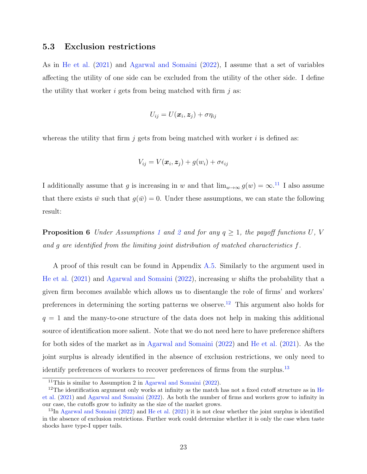#### 5.3 Exclusion restrictions

As in [He et al.](#page-58-2) [\(2021\)](#page-58-2) and [Agarwal and Somaini](#page-57-4) [\(2022\)](#page-57-4), I assume that a set of variables affecting the utility of one side can be excluded from the utility of the other side. I define the utility that worker i gets from being matched with firm  $i$  as:

$$
U_{ij} = U(\boldsymbol{x}_i, \boldsymbol{z}_j) + \sigma \eta_{ij}
$$

whereas the utility that firm  $j$  gets from being matched with worker  $i$  is defined as:

$$
V_{ij} = V(\boldsymbol{x}_i, \boldsymbol{z}_j) + g(w_i) + \sigma \epsilon_{ij}
$$

I additionally assume that g is increasing in w and that  $\lim_{w\to\infty} g(w) = \infty$ .<sup>[11](#page-23-0)</sup> I also assume that there exists  $\bar{w}$  such that  $q(\bar{w}) = 0$ . Under these assumptions, we can state the following result:

<span id="page-23-3"></span>**Proposition 6** Under Assumptions [1](#page-7-1) and [2](#page-8-0) and for any  $q \geq 1$ , the payoff functions U, V and g are identified from the limiting joint distribution of matched characteristics f.

A proof of this result can be found in Appendix [A.5.](#page-55-0) Similarly to the argument used in [He et al.](#page-58-2)  $(2021)$  and [Agarwal and Somaini](#page-57-4)  $(2022)$ , increasing w shifts the probability that a given firm becomes available which allows us to disentangle the role of firms' and workers' preferences in determining the sorting patterns we observe.<sup>[12](#page-23-1)</sup> This argument also holds for  $q = 1$  and the many-to-one structure of the data does not help in making this additional source of identification more salient. Note that we do not need here to have preference shifters for both sides of the market as in [Agarwal and Somaini](#page-57-4) [\(2022\)](#page-57-4) and [He et al.](#page-58-2) [\(2021\)](#page-58-2). As the joint surplus is already identified in the absence of exclusion restrictions, we only need to identify preferences of workers to recover preferences of firms from the surplus.<sup>[13](#page-23-2)</sup>

<span id="page-23-1"></span><span id="page-23-0"></span><sup>&</sup>lt;sup>11</sup>This is similar to Assumption 2 in [Agarwal and Somaini](#page-57-4)  $(2022)$ .

<sup>&</sup>lt;sup>12</sup>The identification argument only works at infinity as the match has not a fixed cutoff structure as in [He](#page-58-2) [et al.](#page-58-2) [\(2021\)](#page-58-2) and [Agarwal and Somaini](#page-57-4) [\(2022\)](#page-57-4). As both the number of firms and workers grow to infinity in our case, the cutoffs grow to infinity as the size of the market grows.

<span id="page-23-2"></span><sup>13</sup>In [Agarwal and Somaini](#page-57-4) [\(2022\)](#page-57-4) and [He et al.](#page-58-2) [\(2021\)](#page-58-2) it is not clear whether the joint surplus is identified in the absence of exclusion restrictions. Further work could determine whether it is only the case when taste shocks have type-I upper tails.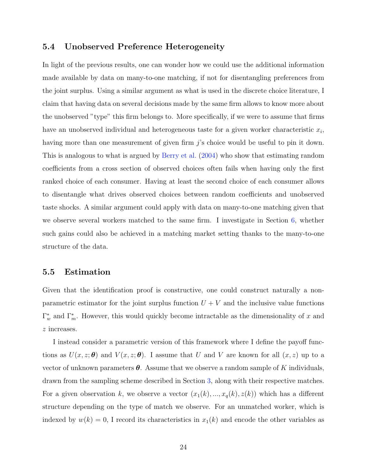## 5.4 Unobserved Preference Heterogeneity

In light of the previous results, one can wonder how we could use the additional information made available by data on many-to-one matching, if not for disentangling preferences from the joint surplus. Using a similar argument as what is used in the discrete choice literature, I claim that having data on several decisions made by the same firm allows to know more about the unobserved "type" this firm belongs to. More specifically, if we were to assume that firms have an unobserved individual and heterogeneous taste for a given worker characteristic  $x_i$ , having more than one measurement of given firm j's choice would be useful to pin it down. This is analogous to what is argued by [Berry et al.](#page-57-5) [\(2004\)](#page-57-5) who show that estimating random coefficients from a cross section of observed choices often fails when having only the first ranked choice of each consumer. Having at least the second choice of each consumer allows to disentangle what drives observed choices between random coefficients and unobserved taste shocks. A similar argument could apply with data on many-to-one matching given that we observe several workers matched to the same firm. I investigate in Section [6,](#page-25-0) whether such gains could also be achieved in a matching market setting thanks to the many-to-one structure of the data.

### 5.5 Estimation

Given that the identification proof is constructive, one could construct naturally a nonparametric estimator for the joint surplus function  $U + V$  and the inclusive value functions  $\Gamma_w^*$  and  $\Gamma_m^*$ . However, this would quickly become intractable as the dimensionality of x and z increases.

I instead consider a parametric version of this framework where I define the payoff functions as  $U(x, z; \theta)$  and  $V(x, z; \theta)$ . I assume that U and V are known for all  $(x, z)$  up to a vector of unknown parameters  $\theta$ . Assume that we observe a random sample of K individuals, drawn from the sampling scheme described in Section [3,](#page-9-0) along with their respective matches. For a given observation k, we observe a vector  $(x_1(k), ..., x_q(k), z(k))$  which has a different structure depending on the type of match we observe. For an unmatched worker, which is indexed by  $w(k) = 0$ , I record its characteristics in  $x_1(k)$  and encode the other variables as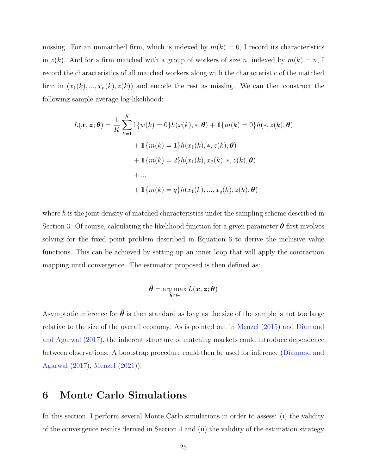missing. For an unmatched firm, which is indexed by  $m(k) = 0$ , I record its characteristics in  $z(k)$ . And for a firm matched with a group of workers of size n, indexed by  $m(k) = n$ , I record the characteristics of all matched workers along with the characteristic of the matched firm in  $(x_1(k),...,x_n(k),z(k))$  and encode the rest as missing. We can then construct the following sample average log-likelihood:

$$
L(\boldsymbol{x}, \boldsymbol{z}; \boldsymbol{\theta}) = \frac{1}{K} \sum_{k=1}^{K} \mathbb{1} \{ w(k) = 0 \} h(x(k), \ast, \boldsymbol{\theta}) + \mathbb{1} \{ m(k) = 0 \} h(\ast, z(k), \boldsymbol{\theta})
$$

$$
+ \mathbb{1} \{ m(k) = 1 \} h(x_1(k), \ast, z(k), \boldsymbol{\theta})
$$

$$
+ \mathbb{1} \{ m(k) = 2 \} h(x_1(k), x_2(k), \ast, z(k), \boldsymbol{\theta})
$$

$$
+ ...
$$

$$
+ \mathbb{1} \{ m(k) = q \} h(x_1(k), ..., x_q(k), z(k), \boldsymbol{\theta})
$$

where  $h$  is the joint density of matched characteristics under the sampling scheme described in Section [3.](#page-9-0) Of course, calculating the likelihood function for a given parameter  $\theta$  first involves solving for the fixed point problem described in Equation [6](#page-18-2) to derive the inclusive value functions. This can be achieved by setting up an inner loop that will apply the contraction mapping until convergence. The estimator proposed is then defined as:

$$
\hat{\boldsymbol{\theta}} = \argmax_{\boldsymbol{\theta} \in \Theta} L(\boldsymbol{x}, \boldsymbol{z}; \boldsymbol{\theta})
$$

Asymptotic inference for  $\hat{\theta}$  is then standard as long as the size of the sample is not too large relative to the size of the overall economy. As is pointed out in [Menzel](#page-58-1) [\(2015\)](#page-58-1) and [Diamond](#page-57-2) [and Agarwal](#page-57-2) [\(2017\)](#page-57-2), the inherent structure of matching markets could introduce dependence between observations. A bootstrap procedure could then be used for inference [\(Diamond and](#page-57-2) [Agarwal](#page-57-2) [\(2017\)](#page-57-2), [Menzel](#page-58-9) [\(2021\)](#page-58-9)).

# <span id="page-25-0"></span>6 Monte Carlo Simulations

In this section, I perform several Monte Carlo simulations in order to assess: (i) the validity of the convergence results derived in Section [4](#page-11-0) and (ii) the validity of the estimation strategy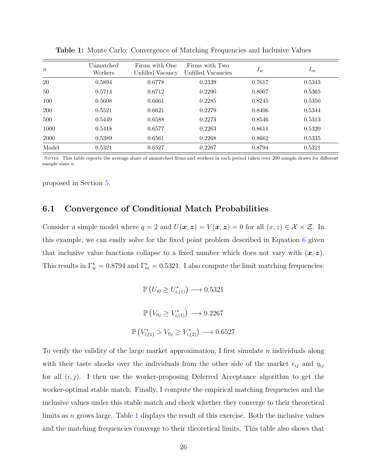| $\boldsymbol{n}$ | Unmatched<br>Workers | Firms with One<br>Unfilled Vacancy | Firms with Two<br>Unfilled Vacancies | $I_w$  | $I_m$  |  |
|------------------|----------------------|------------------------------------|--------------------------------------|--------|--------|--|
| <b>20</b>        | 0.5894               | 0.6778                             | 0.2339                               | 0.7617 | 0.5343 |  |
| 50               | 0.5714               | 0.6712                             | 0.2290                               | 0.8007 | 0.5365 |  |
| 100              | 0.5608               | 0.6661                             | 0.2285                               | 0.8245 | 0.5350 |  |
| <b>200</b>       | 0.5521               | 0.6621                             | 0.2279                               | 0.8406 | 0.5344 |  |
| 500              | 0.5449               | 0.6588                             | 0.2273                               | 0.8546 | 0.5313 |  |
| 1000             | 0.5418               | 0.6577                             | 0.2263                               | 0.8611 | 0.5320 |  |
| 2000             | 0.5389               | 0.6561                             | 0.2268                               | 0.8662 | 0.5335 |  |
| Model            | 0.5321               | 0.6527                             | 0.2267                               | 0.8794 | 0.5321 |  |

<span id="page-26-0"></span>Table 1: Monte Carlo: Convergence of Matching Frequencies and Inclusive Values

NOTES. This table reports the average share of unmatched firms and workers in each period taken over 200 sample draws for different sample sizes  $n$ .

proposed in Section [5.](#page-20-0)

## 6.1 Convergence of Conditional Match Probabilities

Consider a simple model where  $q = 2$  and  $U(\mathbf{x}, \mathbf{z}) = V(\mathbf{x}, \mathbf{z}) = 0$  for all  $(x, z) \in \mathcal{X} \times \mathcal{Z}$ . In this example, we can easily solve for the fixed point problem described in Equation [6](#page-18-2) given that inclusive value functions collapse to a fixed number which does not vary with  $(x, z)$ . This results in  $\Gamma_w^* = 0.8794$  and  $\Gamma_m^* = 0.5321$ . I also compute the limit matching frequencies:

$$
\mathbb{P}\left(U_{i0} \ge U_{i,(1)}^*\right) \longrightarrow 0.5321
$$
\n
$$
\mathbb{P}\left(V_{0j} \ge V_{i,(1)}^*\right) \longrightarrow 0.2267
$$
\n
$$
\mathbb{P}\left(V_{i,(1)}^* > V_{0j} \ge V_{i,(2)}^*\right) \longrightarrow 0.6527
$$

To verify the validity of the large market approximation, I first simulate  $n$  individuals along with their taste shocks over the individuals from the other side of the market  $\epsilon_{ij}$  and  $\eta_{ij}$ for all  $(i, j)$ . I then use the worker-proposing Deferred Acceptance algorithm to get the worker-optimal stable match. Finally, I compute the empirical matching frequencies and the inclusive values under this stable match and check whether they converge to their theoretical limits as  $n$  grows large. Table [1](#page-26-0) displays the result of this exercise. Both the inclusive values and the matching frequencies converge to their theoretical limits. This table also shows that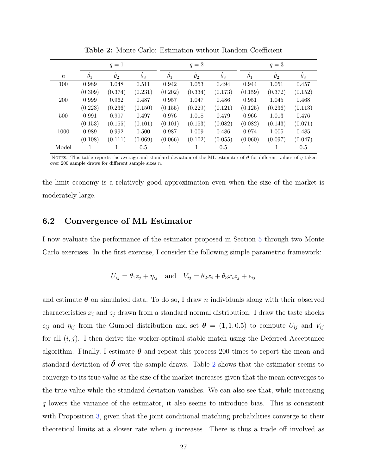<span id="page-27-0"></span>

|            |                   | $q=1$            |                  |                   | $q=2$      |                  | $q=3$      |                  |                  |  |
|------------|-------------------|------------------|------------------|-------------------|------------|------------------|------------|------------------|------------------|--|
| $\,n$      | $\ddot{\theta}_1$ | $\hat{\theta}_2$ | $\hat{\theta}_3$ | $\ddot{\theta}_1$ | $\theta_2$ | $\hat{\theta}_3$ | $\theta_1$ | $\hat{\theta}_2$ | $\hat{\theta}_3$ |  |
| 100        | 0.989             | 1.048            | 0.511            | 0.942             | 1.053      | 0.494            | 0.944      | 1.051            | 0.457            |  |
|            | (0.309)           | (0.374)          | (0.231)          | (0.202)           | (0.334)    | (0.173)          | (0.159)    | (0.372)          | (0.152)          |  |
| <b>200</b> | 0.999             | 0.962            | 0.487            | 0.957             | 1.047      | 0.486            | 0.951      | 1.045            | 0.468            |  |
|            | (0.223)           | (0.236)          | (0.150)          | (0.155)           | (0.229)    | (0.121)          | (0.125)    | (0.236)          | (0.113)          |  |
| 500        | 0.991             | 0.997            | 0.497            | 0.976             | 1.018      | 0.479            | 0.966      | 1.013            | 0.476            |  |
|            | (0.153)           | (0.155)          | (0.101)          | (0.101)           | (0.153)    | (0.082)          | (0.082)    | (0.143)          | (0.071)          |  |
| 1000       | 0.989             | 0.992            | 0.500            | 0.987             | 1.009      | 0.486            | 0.974      | 1.005            | 0.485            |  |
|            | (0.108)           | (0.111)          | (0.069)          | (0.066)           | (0.102)    | (0.055)          | (0.060)    | (0.097)          | (0.047)          |  |
| Model      |                   |                  | 0.5              |                   |            | $0.5\,$          | 1          |                  | $0.5\,$          |  |

Table 2: Monte Carlo: Estimation without Random Coefficient

NOTES. This table reports the average and standard deviation of the ML estimator of  $\theta$  for different values of q taken over 200 sample draws for different sample sizes  $n$ .

the limit economy is a relatively good approximation even when the size of the market is moderately large.

# 6.2 Convergence of ML Estimator

I now evaluate the performance of the estimator proposed in Section [5](#page-20-0) through two Monte Carlo exercises. In the first exercise, I consider the following simple parametric framework:

$$
U_{ij} = \theta_1 z_j + \eta_{ij} \quad \text{and} \quad V_{ij} = \theta_2 x_i + \theta_3 x_i z_j + \epsilon_{ij}
$$

and estimate  $\theta$  on simulated data. To do so, I draw n individuals along with their observed characteristics  $x_i$  and  $z_j$  drawn from a standard normal distribution. I draw the taste shocks  $\epsilon_{ij}$  and  $\eta_{ij}$  from the Gumbel distribution and set  $\boldsymbol{\theta} = (1, 1, 0.5)$  to compute  $U_{ij}$  and  $V_{ij}$ for all  $(i, j)$ . I then derive the worker-optimal stable match using the Deferred Acceptance algorithm. Finally, I estimate  $\theta$  and repeat this process 200 times to report the mean and standard deviation of  $\hat{\theta}$  over the sample draws. Table [2](#page-27-0) shows that the estimator seems to converge to its true value as the size of the market increases given that the mean converges to the true value while the standard deviation vanishes. We can also see that, while increasing q lowers the variance of the estimator, it also seems to introduce bias. This is consistent with Proposition [3,](#page-19-1) given that the joint conditional matching probabilities converge to their theoretical limits at a slower rate when  $q$  increases. There is thus a trade off involved as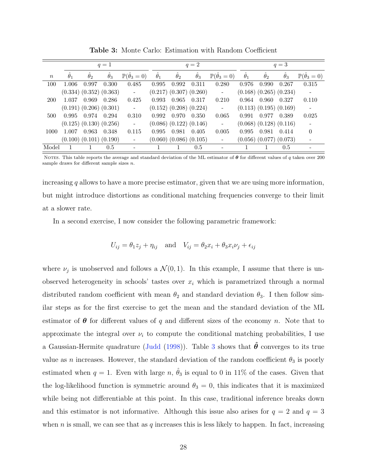<span id="page-28-0"></span>

|                  | $q=1$            |                   |                               |                                         |                  | $q=2$            |                               |                                |                  | $q=3$                         |                               |                                |  |
|------------------|------------------|-------------------|-------------------------------|-----------------------------------------|------------------|------------------|-------------------------------|--------------------------------|------------------|-------------------------------|-------------------------------|--------------------------------|--|
| $\boldsymbol{n}$ | $\hat{\theta}_1$ | $\ddot{\theta}_2$ | $\hat{\theta}_3$              | $\mathbb{P}(\hat{\theta}_3=0)$          | $\hat{\theta}_1$ | $\hat{\theta}_2$ | $\hat{\theta}_3$              | $\mathbb{P}(\hat{\theta}_3=0)$ | $\hat{\theta}_1$ | $\hat{\theta}_2$              | $\ddot{\theta}_3$             | $\mathbb{P}(\hat{\theta}_3=0)$ |  |
| 100              | 1.006            | 0.997             | 0.300                         | 0.485                                   | 0.995            | 0.992            | 0.311                         | 0.280                          | 0.976            | 0.990                         | 0.267                         | 0.315                          |  |
|                  |                  |                   | $(0.334)$ $(0.352)$ $(0.363)$ | $\mathcal{L}^{\text{max}}_{\text{max}}$ |                  |                  | $(0.217)$ $(0.307)$ $(0.260)$ | $\sim 10^{-11}$                |                  |                               | $(0.168)$ $(0.265)$ $(0.234)$ | $\sim$ $-$                     |  |
| 200              | 1.037            | 0.969             | 0.286                         | 0.425                                   | 0.993            | 0.965            | 0.317                         | 0.210                          | 0.964            | 0.960                         | 0.327                         | 0.110                          |  |
|                  |                  |                   | $(0.191)$ $(0.206)$ $(0.301)$ | $\sim 100$                              |                  |                  | $(0.152)$ $(0.208)$ $(0.224)$ | $\pm$                          |                  |                               | $(0.113)$ $(0.195)$ $(0.169)$ | $\overline{\phantom{a}}$       |  |
| 500              | 0.995            | 0.974             | 0.294                         | 0.310                                   | 0.992            | 0.970            | 0.350                         | 0.065                          | 0.991            | 0.977                         | 0.389                         | 0.025                          |  |
|                  |                  |                   | $(0.125)$ $(0.130)$ $(0.256)$ | $\omega$                                |                  |                  | $(0.086)$ $(0.122)$ $(0.146)$ | $\blacksquare$                 |                  | $(0.068)$ $(0.128)$ $(0.116)$ |                               |                                |  |
| 1000             | 1.007            | 0.963             | 0.348                         | 0.115                                   | 0.995            | 0.981            | 0.405                         | 0.005                          | 0.995            | 0.981                         | 0.414                         | $\Omega$                       |  |
|                  |                  |                   | $(0.100)$ $(0.101)$ $(0.190)$ | $\equiv$                                |                  |                  | $(0.060)$ $(0.086)$ $(0.105)$ | $\qquad \qquad -$              |                  | $(0.056)$ $(0.077)$ $(0.073)$ |                               |                                |  |
| Model            |                  |                   | 0.5                           |                                         |                  |                  | 0.5                           | $\overline{\phantom{a}}$       |                  |                               | 0.5                           |                                |  |

Table 3: Monte Carlo: Estimation with Random Coefficient

NOTES. This table reports the average and standard deviation of the ML estimator of  $\theta$  for different values of q taken over 200 sample draws for different sample sizes *n*.

increasing  $q$  allows to have a more precise estimator, given that we are using more information, but might introduce distortions as conditional matching frequencies converge to their limit at a slower rate.

In a second exercise, I now consider the following parametric framework:

$$
U_{ij} = \theta_1 z_j + \eta_{ij} \quad \text{and} \quad V_{ij} = \theta_2 x_i + \theta_3 x_i \nu_j + \epsilon_{ij}
$$

where  $\nu_j$  is unobserved and follows a  $\mathcal{N}(0,1)$ . In this example, I assume that there is unobserved heterogeneity in schools' tastes over  $x_i$  which is parametrized through a normal distributed random coefficient with mean  $\theta_2$  and standard deviation  $\theta_3$ . I then follow similar steps as for the first exercise to get the mean and the standard deviation of the ML estimator of  $\theta$  for different values of q and different sizes of the economy n. Note that to approximate the integral over  $\nu_i$  to compute the conditional matching probabilities, I use a Gaussian-Hermite quadrature [\(Judd](#page-58-10) [\(1998\)](#page-58-10)). Table [3](#page-28-0) shows that  $\hat{\theta}$  converges to its true value as n increases. However, the standard deviation of the random coefficient  $\theta_3$  is poorly estimated when  $q = 1$ . Even with large  $n, \hat{\theta}_3$  is equal to 0 in 11% of the cases. Given that the log-likelihood function is symmetric around  $\theta_3 = 0$ , this indicates that it is maximized while being not differentiable at this point. In this case, traditional inference breaks down and this estimator is not informative. Although this issue also arises for  $q = 2$  and  $q = 3$ when n is small, we can see that as q increases this is less likely to happen. In fact, increasing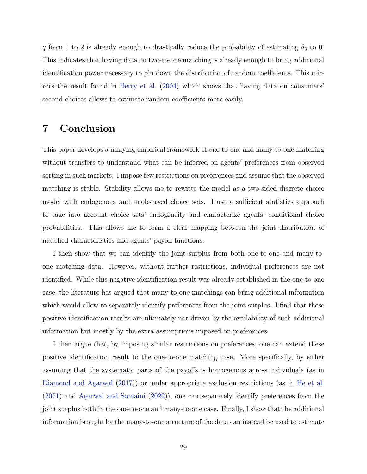q from 1 to 2 is already enough to drastically reduce the probability of estimating  $\theta_3$  to 0. This indicates that having data on two-to-one matching is already enough to bring additional identification power necessary to pin down the distribution of random coefficients. This mirrors the result found in [Berry et al.](#page-57-5) [\(2004\)](#page-57-5) which shows that having data on consumers' second choices allows to estimate random coefficients more easily.

# 7 Conclusion

This paper develops a unifying empirical framework of one-to-one and many-to-one matching without transfers to understand what can be inferred on agents' preferences from observed sorting in such markets. I impose few restrictions on preferences and assume that the observed matching is stable. Stability allows me to rewrite the model as a two-sided discrete choice model with endogenous and unobserved choice sets. I use a sufficient statistics approach to take into account choice sets' endogeneity and characterize agents' conditional choice probabilities. This allows me to form a clear mapping between the joint distribution of matched characteristics and agents' payoff functions.

I then show that we can identify the joint surplus from both one-to-one and many-toone matching data. However, without further restrictions, individual preferences are not identified. While this negative identification result was already established in the one-to-one case, the literature has argued that many-to-one matchings can bring additional information which would allow to separately identify preferences from the joint surplus. I find that these positive identification results are ultimately not driven by the availability of such additional information but mostly by the extra assumptions imposed on preferences.

I then argue that, by imposing similar restrictions on preferences, one can extend these positive identification result to the one-to-one matching case. More specifically, by either assuming that the systematic parts of the payoffs is homogenous across individuals (as in [Diamond and Agarwal](#page-57-2) [\(2017\)](#page-57-2)) or under appropriate exclusion restrictions (as in [He et al.](#page-58-2) [\(2021\)](#page-58-2) and [Agarwal and Somaini](#page-57-4) [\(2022\)](#page-57-4)), one can separately identify preferences from the joint surplus both in the one-to-one and many-to-one case. Finally, I show that the additional information brought by the many-to-one structure of the data can instead be used to estimate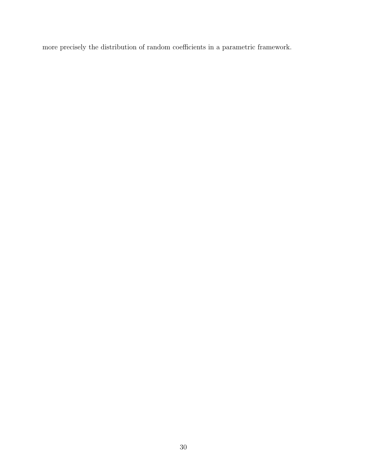more precisely the distribution of random coefficients in a parametric framework.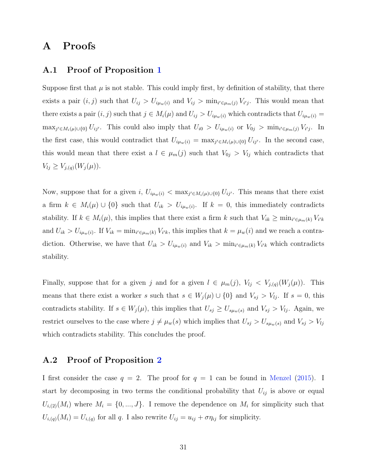# A Proofs

# <span id="page-31-0"></span>A.1 Proof of Proposition [1](#page-12-0)

Suppose first that  $\mu$  is not stable. This could imply first, by definition of stability, that there exists a pair  $(i, j)$  such that  $U_{ij} > U_{i\mu_w(i)}$  and  $V_{ij} > \min_{i' \in \mu_m(j)} V_{i'j}$ . This would mean that there exists a pair  $(i, j)$  such that  $j \in M_i(\mu)$  and  $U_{ij} > U_{i\mu_w(i)}$  which contradicts that  $U_{i\mu_w(i)} =$  $\max_{j' \in M_i(\mu) \cup \{0\}} U_{ij'}$ . This could also imply that  $U_{i0} > U_{i\mu_w(i)}$  or  $V_{0j} > \min_{i' \in \mu_m(j)} V_{i'j}$ . In the first case, this would contradict that  $U_{i\mu_w(i)} = \max_{j' \in M_i(\mu) \cup \{0\}} U_{ij'}$ . In the second case, this would mean that there exist a  $l \in \mu_m(j)$  such that  $V_{0j} > V_{lj}$  which contradicts that  $V_{lj} \geq V_{j,(q)}(W_j(\mu)).$ 

Now, suppose that for a given  $i, U_{i\mu_w(i)} < \max_{j' \in M_i(\mu) \cup \{0\}} U_{ij'}$ . This means that there exist a firm  $k \in M_i(\mu) \cup \{0\}$  such that  $U_{ik} > U_{i\mu_w(i)}$ . If  $k = 0$ , this immediately contradicts stability. If  $k \in M_i(\mu)$ , this implies that there exist a firm k such that  $V_{ik} \ge \min_{i' \in \mu_m(k)} V_{i'k}$ and  $U_{ik} > U_{i\mu_w(i)}$ . If  $V_{ik} = \min_{i' \in \mu_w(k)} V_{i'k}$ , this implies that  $k = \mu_w(i)$  and we reach a contradiction. Otherwise, we have that  $U_{ik} > U_{i\mu_w(i)}$  and  $V_{ik} > \min_{i' \in \mu_m(k)} V_{i'k}$  which contradicts stability.

Finally, suppose that for a given j and for a given  $l \in \mu_m(j)$ ,  $V_{lj} < V_{j,(q)}(W_j(\mu))$ . This means that there exist a worker s such that  $s \in W_j(\mu) \cup \{0\}$  and  $V_{sj} > V_{lj}$ . If  $s = 0$ , this contradicts stability. If  $s \in W_j(\mu)$ , this implies that  $U_{sj} \geq U_{s\mu_w(s)}$  and  $V_{sj} > V_{lj}$ . Again, we restrict ourselves to the case where  $j \neq \mu_w(s)$  which implies that  $U_{sj} > U_{s\mu_w(s)}$  and  $V_{sj} > V_{lj}$ which contradicts stability. This concludes the proof.

## <span id="page-31-1"></span>A.2 Proof of Proposition [2](#page-13-1)

I first consider the case  $q = 2$ . The proof for  $q = 1$  can be found in [Menzel](#page-58-1) [\(2015\)](#page-58-1). I start by decomposing in two terms the conditional probability that  $U_{ij}$  is above or equal  $U_{i,(2)}(M_i)$  where  $M_i = \{0, ..., J\}$ . I remove the dependence on  $M_i$  for simplicity such that  $U_{i,(q)}(M_i) = U_{i,(q)}$  for all q. I also rewrite  $U_{ij} = u_{ij} + \sigma \eta_{ij}$  for simplicity.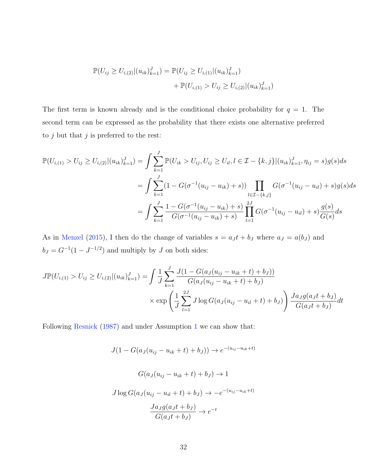$$
\mathbb{P}(U_{ij} \ge U_{i,(2)}|(u_{ik})_{k=1}^J) = \mathbb{P}(U_{ij} \ge U_{i,(1)}|(u_{ik})_{k=1}^J) + \mathbb{P}(U_{i,(1)} > U_{ij} \ge U_{i,(2)}|(u_{ik})_{k=1}^J)
$$

The first term is known already and is the conditional choice probability for  $q = 1$ . The second term can be expressed as the probability that there exists one alternative preferred to  $j$  but that  $j$  is preferred to the rest:

$$
\mathbb{P}(U_{i,(1)} > U_{ij} \ge U_{i,(2)} | (u_{ik})_{k=1}^J) = \int \sum_{k=1}^J \mathbb{P}(U_{ik} > U_{ij}, U_{ij} \ge U_{il}, l \in \mathcal{I} - \{k, j\} | (u_{ik})_{k=1}^J, \eta_{ij} = s)g(s)ds
$$
  

$$
= \int \sum_{k=1}^J (1 - G(\sigma^{-1}(u_{ij} - u_{ik}) + s)) \prod_{l \in \mathcal{I} - \{k, j\}} G(\sigma^{-1}(u_{ij} - u_{il}) + s)g(s)ds
$$
  

$$
= \int \sum_{k=1}^J \frac{1 - G(\sigma^{-1}(u_{ij} - u_{ik}) + s)}{G(\sigma^{-1}(u_{ij} - u_{ik}) + s)} \prod_{l=1}^{2J} G(\sigma^{-1}(u_{ij} - u_{il}) + s) \frac{g(s)}{G(s)} ds
$$

As in [Menzel](#page-58-1) [\(2015\)](#page-58-1), I then do the change of variables  $s = a_J t + b_J$  where  $a_J = a(b_J)$  and  $b_J = G^{-1}(1 - J^{-1/2})$  and multiply by J on both sides:

$$
J\mathbb{P}(U_{i,(1)} > U_{ij} \geq U_{i,(2)}|(u_{ik})_{k=1}^J) = \int \frac{1}{J} \sum_{k=1}^J \frac{J(1 - G(a_J(u_{ij} - u_{ik} + t) + b_J))}{G(a_J(u_{ij} - u_{ik} + t) + b_J)}
$$
  
 
$$
\times \exp\left(\frac{1}{J} \sum_{l=1}^{2J} J \log G(a_J(u_{ij} - u_{il} + t) + b_J)\right) \frac{J a_J g(a_J t + b_J)}{G(a_J t + b_J)} dt
$$

Following [Resnick](#page-58-8) [\(1987\)](#page-58-8) and under Assumption [1](#page-7-1) we can show that:

$$
J(1 - G(a_J(u_{ij} - u_{ik} + t) + b_J)) \rightarrow e^{-(u_{ij} - u_{ik} + t)}
$$

$$
G(a_J(u_{ij} - u_{ik} + t) + b_J) \rightarrow 1
$$

$$
J \log G(a_J(u_{ij} - u_{il} + t) + b_J) \rightarrow -e^{-(u_{ij} - u_{ik} + t)}
$$

$$
\frac{J a_J g(a_J t + b_J)}{G(a_J t + b_J)} \rightarrow e^{-t}
$$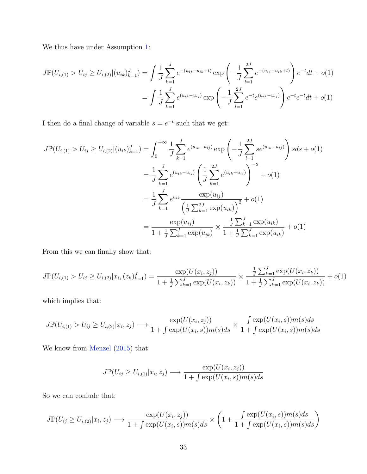We thus have under Assumption [1:](#page-7-1)

$$
J\mathbb{P}(U_{i,(1)} > U_{ij} \geq U_{i,(2)}|(u_{ik})_{k=1}^J) = \int \frac{1}{J} \sum_{k=1}^J e^{-(u_{ij}-u_{ik}+t)} \exp\left(-\frac{1}{J} \sum_{l=1}^{2J} e^{-(u_{ij}-u_{ik}+t)}\right) e^{-t} dt + o(1)
$$
  
= 
$$
\int \frac{1}{J} \sum_{k=1}^J e^{(u_{ik}-u_{ij})} \exp\left(-\frac{1}{J} \sum_{l=1}^{2J} e^{-t} e^{(u_{ik}-u_{ij})}\right) e^{-t} e^{-t} dt + o(1)
$$

I then do a final change of variable  $s = e^{-t}$  such that we get:

$$
J\mathbb{P}(U_{i,(1)} > U_{ij} \ge U_{i,(2)}|(u_{ik})_{k=1}^J) = \int_0^{+\infty} \frac{1}{J} \sum_{k=1}^J e^{(u_{ik}-u_{ij})} \exp\left(-\frac{1}{J} \sum_{l=1}^{2J} s e^{(u_{ik}-u_{ij})}\right) s ds + o(1)
$$
  

$$
= \frac{1}{J} \sum_{k=1}^J e^{(u_{ik}-u_{ij})} \left(\frac{1}{J} \sum_{k=1}^{2J} e^{(u_{ik}-u_{ij})}\right)^{-2} + o(1)
$$
  

$$
= \frac{1}{J} \sum_{k=1}^J e^{u_{ik}} \frac{\exp(u_{ij})}{\left(\frac{1}{J} \sum_{k=1}^{2J} \exp(u_{ik})\right)^2} + o(1)
$$
  

$$
= \frac{\exp(u_{ij})}{1 + \frac{1}{J} \sum_{k=1}^J \exp(u_{ik})} \times \frac{\frac{1}{J} \sum_{k=1}^J \exp(u_{ik})}{1 + \frac{1}{J} \sum_{k=1}^J \exp(u_{ik})} + o(1)
$$

From this we can finally show that:

$$
J\mathbb{P}(U_{i,(1)} > U_{ij} \geq U_{i,(2)} | x_i, (z_k)_{k=1}^J) = \frac{\exp(U(x_i, z_j))}{1 + \frac{1}{J} \sum_{k=1}^J \exp(U(x_i, z_k))} \times \frac{\frac{1}{J} \sum_{k=1}^J \exp(U(x_i, z_k))}{1 + \frac{1}{J} \sum_{k=1}^J \exp(U(x_i, z_k))} + o(1)
$$

which implies that:

$$
J\mathbb{P}(U_{i,(1)} > U_{ij} \geq U_{i,(2)} | x_i, z_j) \longrightarrow \frac{\exp(U(x_i, z_j))}{1 + \int \exp(U(x_i, s))m(s)ds} \times \frac{\int \exp(U(x_i, s))m(s)ds}{1 + \int \exp(U(x_i, s))m(s)ds}
$$

We know from [Menzel](#page-58-1)  $(2015)$  that:

$$
J\mathbb{P}(U_{ij} \geq U_{i,(1)}|x_i,z_j) \longrightarrow \frac{\exp(U(x_i,z_j))}{1 + \int \exp(U(x_i,s))m(s)ds}
$$

So we can conlude that:

$$
J\mathbb{P}(U_{ij} \geq U_{i,(2)}|x_i,z_j) \longrightarrow \frac{\exp(U(x_i,z_j))}{1 + \int \exp(U(x_i,s))m(s)ds} \times \left(1 + \frac{\int \exp(U(x_i,s))m(s)ds}{1 + \int \exp(U(x_i,s))m(s)ds}\right)
$$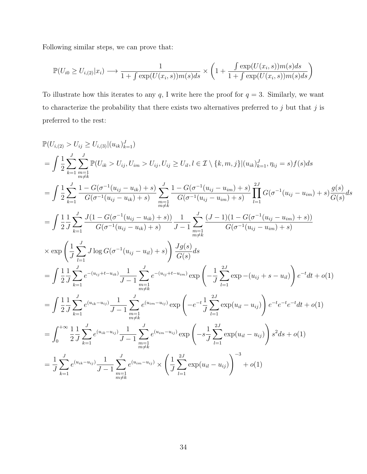Following similar steps, we can prove that:

$$
\mathbb{P}(U_{i0} \ge U_{i,(2)}|x_i) \longrightarrow \frac{1}{1 + \int \exp(U(x_i, s))m(s)ds} \times \left(1 + \frac{\int \exp(U(x_i, s))m(s)ds}{1 + \int \exp(U(x_i, s))m(s)ds}\right)
$$

To illustrate how this iterates to any  $q$ , I write here the proof for  $q = 3$ . Similarly, we want to characterize the probability that there exists two alternatives preferred to  $j$  but that  $j$  is preferred to the rest:

$$
\mathbb{P}(U_{i,(2)} > U_{ij} \ge U_{i,(3)} | (u_{ik})_{k=1}^{J})
$$
\n
$$
= \int \frac{1}{2} \sum_{k=1}^{J} \sum_{\substack{m=1 \ m \neq k}}^{J} \mathbb{P}(U_{ik} > U_{ij}, U_{im} > U_{ij}, U_{ij} \ge U_{il}, l \in \mathcal{I} \setminus \{k, m, j\} | (u_{ik})_{k=1}^{J}, \eta_{ij} = s) f(s) ds
$$
\n
$$
= \int \frac{1}{2} \sum_{k=1}^{J} \frac{1 - G(\sigma^{-1}(u_{ij} - u_{ik}) + s)}{G(\sigma^{-1}(u_{ij} - u_{ik}) + s)} \sum_{\substack{m=1 \ m \neq k}}^{J} \frac{1 - G(\sigma^{-1}(u_{ij} - u_{im}) + s)}{G(\sigma^{-1}(u_{ij} - u_{im}) + s)} \prod_{l=1}^{2J} G(\sigma^{-1}(u_{ij} - u_{im}) + s) \frac{g(s)}{G(s)} ds
$$
\n
$$
= \int \frac{1}{2} \frac{1}{J} \sum_{k=1}^{J} \frac{J(1 - G(\sigma^{-1}(u_{ij} - u_{ik}) + s))}{G(\sigma^{-1}(u_{ij} - u_{ik}) + s)} \frac{1}{J - 1} \sum_{\substack{m=1 \ m \neq k}}^{J} \frac{(J - 1)(1 - G(\sigma^{-1}(u_{ij} - u_{im}) + s))}{G(\sigma^{-1}(u_{ij} - u_{im}) + s)}
$$
\n
$$
\times \exp \left( \frac{1}{J} \sum_{l=1}^{J} J \log G(\sigma^{-1}(u_{ij} - u_{il}) + s) \right) \frac{Jg(s)}{G(s)} ds
$$
\n
$$
= \int \frac{1}{2} \frac{1}{J} \sum_{k=1}^{J} e^{-(u_{ij} + t - u_{ik})} \frac{1}{J - 1} \sum_{\substack{m=1 \ m \neq k}}^{J} e^{-(u_{ij} + t - u_{im})} \exp \left( -\frac{1}{J} \sum_{l=1}^{2J} \exp(-(u_{ij} + s - u_{il})) \right) e^{-t} dt + o(1)
$$
\n
$$
= \int \frac{1}{2} \frac{1}{J} \sum_{k=1}^{J} e^{(u_{
$$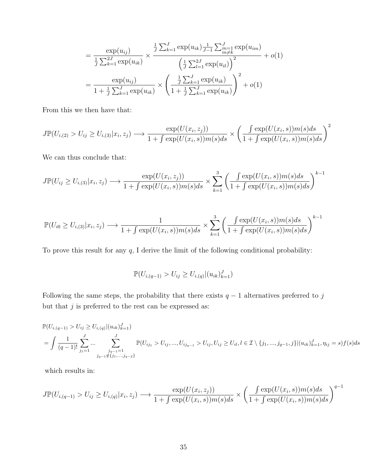$$
= \frac{\exp(u_{ij})}{\frac{1}{J}\sum_{k=1}^{2J}\exp(u_{ik})} \times \frac{\frac{1}{J}\sum_{k=1}^{J}\exp(u_{ik})\frac{1}{J-1}\sum_{m=1}^{J}\exp(u_{im})}{\left(\frac{1}{J}\sum_{l=1}^{2J}\exp(u_{il})\right)^2} + o(1)
$$

$$
= \frac{\exp(u_{ij})}{1 + \frac{1}{J}\sum_{k=1}^{J}\exp(u_{ik})} \times \left(\frac{\frac{1}{J}\sum_{k=1}^{J}\exp(u_{ik})}{1 + \frac{1}{J}\sum_{k=1}^{J}\exp(u_{ik})}\right)^2 + o(1)
$$

From this we then have that:

$$
J\mathbb{P}(U_{i,(2)} > U_{ij} \geq U_{i,(3)} | x_i, z_j) \longrightarrow \frac{\exp(U(x_i, z_j))}{1 + \int \exp(U(x_i, s))m(s)ds} \times \left(\frac{\int \exp(U(x_i, s))m(s)ds}{1 + \int \exp(U(x_i, s))m(s)ds}\right)^2
$$

We can thus conclude that:

$$
J\mathbb{P}(U_{ij} \geq U_{i,(3)}|x_i,z_j) \longrightarrow \frac{\exp(U(x_i,z_j))}{1 + \int \exp(U(x_i,s))m(s)ds} \times \sum_{k=1}^3 \left(\frac{\int \exp(U(x_i,s))m(s)ds}{1 + \int \exp(U(x_i,s))m(s)ds}\right)^{k-1}
$$

$$
\mathbb{P}(U_{i0} \ge U_{i,(3)} | x_i, z_j) \longrightarrow \frac{1}{1 + \int \exp(U(x_i, s)) m(s) ds} \times \sum_{k=1}^{3} \left( \frac{\int \exp(U(x_i, s)) m(s) ds}{1 + \int \exp(U(x_i, s)) m(s) ds} \right)^{k-1}
$$

To prove this result for any  $q$ , I derive the limit of the following conditional probability:

$$
\mathbb{P}(U_{i,(q-1)} > U_{ij} \geq U_{i,(q)} | (u_{ik})_{k=1}^J)
$$

Following the same steps, the probability that there exists  $q-1$  alternatives preferred to j but that  $j$  is preferred to the rest can be expressed as:

$$
\mathbb{P}(U_{i,(q-1)} > U_{ij} \ge U_{i,(q)} | (u_{ik})_{k=1}^J) \n= \int \frac{1}{(q-1)!} \sum_{j_1=1}^J \dots \sum_{\substack{j_{q-1}=1 \\ j_{q-1} \notin \{j_1, \dots, j_{q-2}\}}} \mathbb{P}(U_{ij_1} > U_{ij}, \dots, U_{ij_{q-1}} > U_{ij}, U_{ij} \ge U_{il}, l \in \mathcal{I} \setminus \{j_1, \dots, j_{q-1}, j\} | (u_{ik})_{k=1}^J, \eta_{ij} = s) f(s) ds
$$

which results in:

$$
J\mathbb{P}(U_{i,(q-1)} > U_{ij} \ge U_{i,(q)} | x_i, z_j) \longrightarrow \frac{\exp(U(x_i, z_j))}{1 + \int \exp(U(x_i, s))m(s)ds} \times \left(\frac{\int \exp(U(x_i, s))m(s)ds}{1 + \int \exp(U(x_i, s))m(s)ds}\right)^{q-1}
$$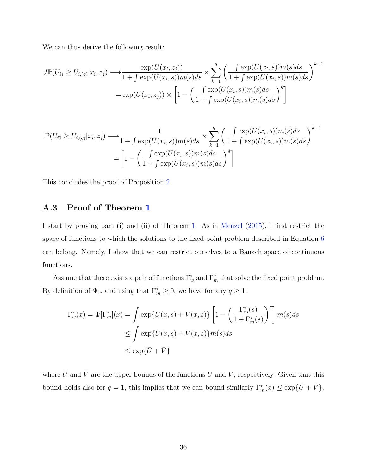We can thus derive the following result:

$$
J\mathbb{P}(U_{ij} \ge U_{i,(q)}|x_i, z_j) \longrightarrow \frac{\exp(U(x_i, z_j))}{1 + \int \exp(U(x_i, s))m(s)ds} \times \sum_{k=1}^q \left(\frac{\int \exp(U(x_i, s))m(s)ds}{1 + \int \exp(U(x_i, s))m(s)ds}\right)^{k-1}
$$

$$
= \exp(U(x_i, z_j)) \times \left[1 - \left(\frac{\int \exp(U(x_i, s))m(s)ds}{1 + \int \exp(U(x_i, s))m(s)ds}\right)^q\right]
$$

$$
\mathbb{P}(U_{i0} \ge U_{i,(q)}|x_i, z_j) \longrightarrow \frac{1}{1 + \int \exp(U(x_i, s))m(s)ds} \times \sum_{k=1}^q \left(\frac{\int \exp(U(x_i, s))m(s)ds}{1 + \int \exp(U(x_i, s))m(s)ds}\right)^{k-1}
$$

$$
= \left[1 - \left(\frac{\int \exp(U(x_i, s))m(s)ds}{1 + \int \exp(U(x_i, s))m(s)ds}\right)^q\right]
$$

This concludes the proof of Proposition [2.](#page-13-1)

# <span id="page-36-0"></span>A.3 Proof of Theorem [1](#page-18-3)

I start by proving part (i) and (ii) of Theorem [1.](#page-18-3) As in [Menzel](#page-58-1) [\(2015\)](#page-58-1), I first restrict the space of functions to which the solutions to the fixed point problem described in Equation [6](#page-18-2) can belong. Namely, I show that we can restrict ourselves to a Banach space of continuous functions.

Assume that there exists a pair of functions  $\Gamma_w^*$  and  $\Gamma_m^*$  that solve the fixed point problem. By definition of  $\Psi_w$  and using that  $\Gamma_m^* \geq 0$ , we have for any  $q \geq 1$ :

$$
\Gamma_w^*(x) = \Psi[\Gamma_m^*](x) = \int \exp\{U(x, s) + V(x, s)\} \left[1 - \left(\frac{\Gamma_m^*(s)}{1 + \Gamma_m^*(s)}\right)^q\right] m(s)ds
$$
  
\n
$$
\leq \int \exp\{U(x, s) + V(x, s)\} m(s)ds
$$
  
\n
$$
\leq \exp\{\bar{U} + \bar{V}\}
$$

where  $\bar{U}$  and  $\bar{V}$  are the upper bounds of the functions U and V, respectively. Given that this bound holds also for  $q = 1$ , this implies that we can bound similarly  $\Gamma_m^*(x) \leq \exp{\{\overline{U} + \overline{V}\}}$ .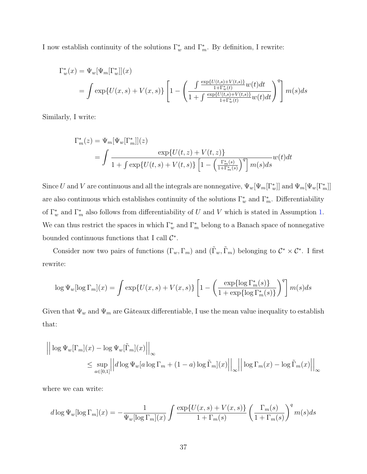I now establish continuity of the solutions  $\Gamma_w^*$  and  $\Gamma_m^*$ . By definition, I rewrite:

$$
\Gamma_w^*(x) = \Psi_w[\Psi_m[\Gamma_w^*]](x)
$$
  
= 
$$
\int \exp\{U(x,s) + V(x,s)\} \left[1 - \left(\frac{\int \frac{\exp\{U(t,s) + V(t,s)\}}{1 + \Gamma_w^*(t)} w(t) dt}{1 + \int \frac{\exp\{U(t,s) + V(t,s)\}}{1 + \Gamma_w^*(t)} w(t) dt}\right)^q\right] m(s) ds
$$

Similarly, I write:

$$
\Gamma_m^*(z) = \Psi_m[\Psi_w[\Gamma_m^*]](z)
$$
  
= 
$$
\int \frac{\exp\{U(t,z) + V(t,z)\}}{1 + \int \exp\{U(t,s) + V(t,s)\} \left[1 - \left(\frac{\Gamma_m^*(s)}{1 + \Gamma_m^*(s)}\right)^q\right] m(s) ds} w(t) dt
$$

Since U and V are continuous and all the integrals are nonnegative,  $\Psi_w[\Psi_m[\Gamma^*_w]]$  and  $\Psi_m[\Psi_w[\Gamma^*_m]]$ are also continuous which establishes continuity of the solutions  $\Gamma_w^*$  and  $\Gamma_m^*$ . Differentiability of  $\Gamma_w^*$  and  $\Gamma_m^*$  also follows from differentiability of U and V which is stated in Assumption [1.](#page-7-1) We can thus restrict the spaces in which  $\Gamma_w^*$  and  $\Gamma_m^*$  belong to a Banach space of nonnegative bounded continuous functions that I call  $\mathcal{C}^*$ .

Consider now two pairs of functions  $(\Gamma_w, \Gamma_m)$  and  $(\tilde{\Gamma}_w, \tilde{\Gamma}_m)$  belonging to  $\mathcal{C}^* \times \mathcal{C}^*$ . I first rewrite:

$$
\log \Psi_w[\log \Gamma_m](x) = \int \exp \{U(x, s) + V(x, s)\} \left[1 - \left(\frac{\exp \{\log \Gamma_m^*(s)\}}{1 + \exp \{\log \Gamma_m^*(s)\}}\right)^q\right] m(s) ds
$$

Given that  $\Psi_w$  and  $\Psi_m$  are Gâteaux differentiable, I use the mean value inequality to establish that:

$$
\left| \left| \log \Psi_w[\Gamma_m](x) - \log \Psi_w[\tilde{\Gamma}_m](x) \right| \right|_{\infty} \le \sup_{a \in [0,1]} \left| \left| d \log \Psi_w[a \log \Gamma_m + (1-a) \log \tilde{\Gamma}_m](x) \right| \right|_{\infty} \left| \left| \log \Gamma_m(x) - \log \tilde{\Gamma}_m(x) \right| \right|_{\infty}
$$

where we can write:

$$
d \log \Psi_w[\log \Gamma_m](x) = -\frac{1}{\Psi_w[\log \Gamma_m](x)} \int \frac{\exp\{U(x, s) + V(x, s)\}}{1 + \Gamma_m(s)} \left(\frac{\Gamma_m(s)}{1 + \Gamma_m(s)}\right)^q m(s)ds
$$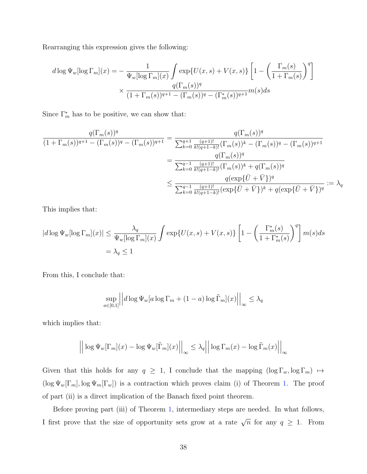Rearranging this expression gives the following:

$$
d \log \Psi_w[\log \Gamma_m](x) = -\frac{1}{\Psi_w[\log \Gamma_m](x)} \int \exp\{U(x, s) + V(x, s)\} \left[1 - \left(\frac{\Gamma_m(s)}{1 + \Gamma_m(s)}\right)^q\right]
$$

$$
\times \frac{q(\Gamma_m(s))^q}{(1 + \Gamma_m(s))^{q+1} - (\Gamma_m(s))^q - (\Gamma_m^*(s))^{q+1}} m(s) ds
$$

Since  $\Gamma_m^*$  has to be positive, we can show that:

$$
\frac{q(\Gamma_m(s))^q}{(1+\Gamma_m(s))^{q+1}-(\Gamma_m(s))^q-(\Gamma_m(s))^{q+1}} = \frac{q(\Gamma_m(s))^q}{\sum_{k=0}^{q+1} \frac{(q+1)!}{k!(q+1-k)!}(\Gamma_m(s))^k - (\Gamma_m(s))^q - (\Gamma_m(s))^{q+1}}
$$

$$
= \frac{q(\Gamma_m(s))^q}{\sum_{k=0}^{q-1} \frac{(q+1)!}{k!(q+1-k)!}(\Gamma_m(s))^k + q(\Gamma_m(s))^q}
$$

$$
\leq \frac{q(\exp{\{\bar{U} + \bar{V}\}})^q}{\sum_{k=0}^{q-1} \frac{(q+1)!}{k!(q+1-k)!}(\exp{\{\bar{U} + \bar{V}\}})^k + q(\exp{\{\bar{U} + \bar{V}\}})^q} := \lambda_q
$$

This implies that:

$$
|d \log \Psi_w[\log \Gamma_m](x)| \leq \frac{\lambda_q}{\Psi_w[\log \Gamma_m](x)} \int \exp \{U(x, s) + V(x, s)\} \left[1 - \left(\frac{\Gamma_m^*(s)}{1 + \Gamma_m^*(s)}\right)^q\right] m(s) ds
$$
  
=  $\lambda_q \leq 1$ 

From this, I conclude that:

$$
\sup_{a \in [0,1]} \left| \left| d \log \Psi_w[a \log \Gamma_m + (1-a) \log \tilde{\Gamma}_m](x) \right| \right|_{\infty} \le \lambda_q
$$

which implies that:

$$
\left| \left| \log \Psi_w[\Gamma_m](x) - \log \Psi_w[\tilde{\Gamma}_m](x) \right| \right|_{\infty} \le \lambda_q \left| \left| \log \Gamma_m(x) - \log \tilde{\Gamma}_m(x) \right| \right|_{\infty}
$$

Given that this holds for any  $q \geq 1$ , I conclude that the mapping  $(\log \Gamma_w, \log \Gamma_m) \mapsto$  $(\log \Psi_w[\Gamma_m], \log \Psi_m[\Gamma_w])$  is a contraction which proves claim (i) of Theorem [1.](#page-18-3) The proof of part (ii) is a direct implication of the Banach fixed point theorem.

Before proving part (iii) of Theorem [1,](#page-18-3) intermediary steps are needed. In what follows, I first prove that the size of opportunity sets grow at a rate  $\sqrt{n}$  for any  $q \geq 1$ . From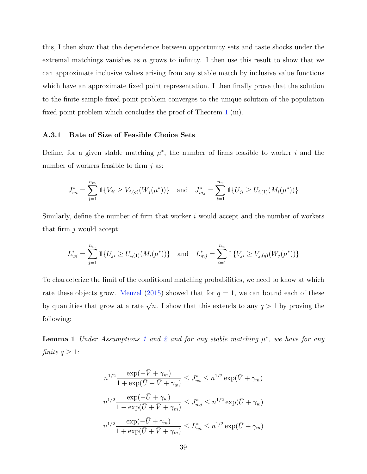this, I then show that the dependence between opportunity sets and taste shocks under the extremal matchings vanishes as  $n$  grows to infinity. I then use this result to show that we can approximate inclusive values arising from any stable match by inclusive value functions which have an approximate fixed point representation. I then finally prove that the solution to the finite sample fixed point problem converges to the unique solution of the population fixed point problem which concludes the proof of Theorem [1.](#page-18-3)(iii).

#### A.3.1 Rate of Size of Feasible Choice Sets

Define, for a given stable matching  $\mu^*$ , the number of firms feasible to worker i and the number of workers feasible to firm  $i$  as:

$$
J_{wi}^* = \sum_{j=1}^{n_m} \mathbb{1}\{V_{ji} \ge V_{j,(q)}(W_j(\mu^*))\} \text{ and } J_{mj}^* = \sum_{i=1}^{n_w} \mathbb{1}\{U_{ji} \ge U_{i,(1)}(M_i(\mu^*))\}
$$

Similarly, define the number of firm that worker  $i$  would accept and the number of workers that firm  $j$  would accept:

$$
L_{wi}^* = \sum_{j=1}^{n_m} \mathbb{1}\{U_{ji} \ge U_{i,(1)}(M_i(\mu^*))\} \text{ and } L_{mj}^* = \sum_{i=1}^{n_w} \mathbb{1}\{V_{ji} \ge V_{j,(q)}(W_j(\mu^*))\}
$$

To characterize the limit of the conditional matching probabilities, we need to know at which rate these objects grow. [Menzel](#page-58-1) [\(2015\)](#page-58-1) showed that for  $q = 1$ , we can bound each of these by quantities that grow at a rate  $\sqrt{n}$ . I show that this extends to any  $q > 1$  by proving the following:

<span id="page-39-0"></span>**Lemma [1](#page-7-1)** Under Assumptions 1 and [2](#page-8-0) and for any stable matching  $\mu^*$ , we have for any finite  $q \geq 1$ :

$$
n^{1/2} \frac{\exp(-\bar{V} + \gamma_m)}{1 + \exp(\bar{U} + \bar{V} + \gamma_w)} \leq J_{wi}^* \leq n^{1/2} \exp(\bar{V} + \gamma_m)
$$
  

$$
n^{1/2} \frac{\exp(-\bar{U} + \gamma_w)}{1 + \exp(\bar{U} + \bar{V} + \gamma_m)} \leq J_{mj}^* \leq n^{1/2} \exp(\bar{U} + \gamma_w)
$$
  

$$
n^{1/2} \frac{\exp(-\bar{U} + \gamma_m)}{1 + \exp(\bar{U} + \bar{V} + \gamma_m)} \leq L_{wi}^* \leq n^{1/2} \exp(\bar{U} + \gamma_m)
$$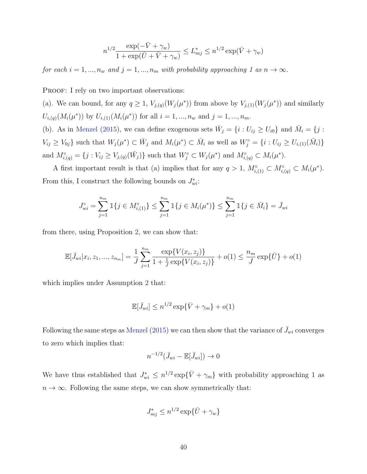$$
n^{1/2} \frac{\exp(-\bar{V} + \gamma_w)}{1 + \exp(\bar{U} + \bar{V} + \gamma_w)} \le L_{mj}^* \le n^{1/2} \exp(\bar{V} + \gamma_w)
$$

for each  $i = 1, ..., n_w$  and  $j = 1, ..., n_m$  with probability approaching 1 as  $n \to \infty$ .

PROOF: I rely on two important observations:

(a). We can bound, for any  $q \ge 1$ ,  $V_{j,(q)}(W_j(\mu^*))$  from above by  $V_{j,(1)}(W_j(\mu^*))$  and similarly  $U_{i,(q)}(M_i(\mu^*))$  by  $U_{i,(1)}(M_i(\mu^*))$  for all  $i=1,...,n_w$  and  $j=1,...,n_m$ .

(b). As in [Menzel](#page-58-1) [\(2015\)](#page-58-1), we can define exogenous sets  $\bar{W}_j = \{i : U_{ij} \ge U_{i0}\}\$ and  $\bar{M}_i = \{j :$  $V_{ij} \geq V_{0j}$  such that  $W_j(\mu^*) \subset \bar{W}_j$  and  $M_i(\mu^*) \subset \bar{M}_i$  as well as  $W_j^{\circ} = \{i : U_{ij} \geq U_{i,(1)}(\bar{M}_i)\}$ and  $M^{\circ}_{i,(q)} = \{j : V_{ij} \geq V_{j,(q)}(\bar{W}_j)\}\$  such that  $W^{\circ}_j \subset W_j(\mu^*)$  and  $M^{\circ}_{i,(q)} \subset M_i(\mu^*)$ .

A first important result is that (a) implies that for any  $q > 1$ ,  $M^{\circ}_{i,(1)} \subset M^{\circ}_{i,(q)} \subset M_i(\mu^*)$ . From this, I construct the following bounds on  $J^*_{wi}$ :

$$
J_{wi}^{\circ} = \sum_{j=1}^{n_m} \mathbb{1}\{j \in M_{i,(1)}^{\circ}\} \le \sum_{j=1}^{n_m} \mathbb{1}\{j \in M_i(\mu^*)\} \le \sum_{j=1}^{n_m} \mathbb{1}\{j \in \bar{M}_i\} = \bar{J}_{wi}
$$

from there, using Proposition [2,](#page-13-1) we can show that:

$$
\mathbb{E}[\bar{J}_{wi}|x_i, z_1, ..., z_{n_m}] = \frac{1}{J} \sum_{j=1}^{n_m} \frac{\exp\{V(x_i, z_j)\}}{1 + \frac{1}{J} \exp\{V(x_i, z_j)\}} + o(1) \le \frac{n_m}{J} \exp\{\bar{U}\} + o(1)
$$

which implies under Assumption [2](#page-8-0) that:

$$
\mathbb{E}[\bar{J}_{wi}] \leq n^{1/2} \exp{\{\bar{V} + \gamma_m\}} + o(1)
$$

Following the same steps as [Menzel](#page-58-1) [\(2015\)](#page-58-1) we can then show that the variance of  $\bar{J}_{wi}$  converges to zero which implies that:

$$
n^{-1/2}(\bar{J}_{wi}-\mathbb{E}[\bar{J}_{wi}])\to 0
$$

We have thus established that  $J_{wi}^* \leq n^{1/2} \exp{\{\bar{V} + \gamma_m\}}$  with probability approaching 1 as  $n \to \infty$ . Following the same steps, we can show symmetrically that:

$$
J_{mj}^* \leq n^{1/2} \exp{\{\bar{U} + \gamma_w\}}
$$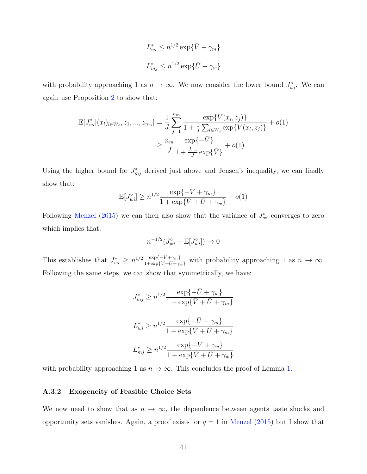$$
L_{wi}^* \le n^{1/2} \exp{\{\bar{V} + \gamma_m\}}
$$
  

$$
L_{mj}^* \le n^{1/2} \exp{\{\bar{U} + \gamma_w\}}
$$

with probability approaching 1 as  $n \to \infty$ . We now consider the lower bound  $J_{wi}^{\circ}$ . We can again use Proposition [2](#page-13-1) to show that:

$$
\mathbb{E}[J_{wi}^{\circ}|(x_l)_{l\in\bar{W}_j}, z_1, ..., z_{n_m}] = \frac{1}{J} \sum_{j=1}^{n_m} \frac{\exp\{V(x_i, z_j)\}}{1 + \frac{1}{J} \sum_{l\in\bar{W}_j} \exp\{V(x_l, z_j)\}} + o(1)
$$

$$
\geq \frac{n_m}{J} \frac{\exp\{-\bar{V}\}}{1 + \frac{\bar{J}_{mj}}{J} \exp\{\bar{V}\}} + o(1)
$$

Using the higher bound for  $J_{mj}^*$  derived just above and Jensen's inequality, we can finally show that:

$$
\mathbb{E}[J_{wi}^\circ] \ge n^{1/2} \frac{\exp\{-\bar{V} + \gamma_m\}}{1 + \exp\{\bar{V} + \bar{U} + \gamma_w\}} + o(1)
$$

Following [Menzel](#page-58-1) [\(2015\)](#page-58-1) we can then also show that the variance of  $J_{wi}^{\circ}$  converges to zero which implies that:

$$
n^{-1/2}(J_{wi}^{\circ} - \mathbb{E}[J_{wi}^{\circ}]) \to 0
$$

This establishes that  $J_{wi}^* \geq n^{1/2} \frac{\exp\{-\bar{V} + \gamma_m\}}{1 + \exp\{\bar{V} + \bar{U} + \gamma_m\}}$  $\frac{\exp\{-V + \gamma_m\}}{1 + \exp\{\bar{V} + \bar{U} + \gamma_w\}}$  with probability approaching 1 as  $n \to \infty$ . Following the same steps, we can show that symmetrically, we have:

$$
J_{mj}^* \ge n^{1/2} \frac{\exp\{-\bar{U} + \gamma_w\}}{1 + \exp\{\bar{V} + \bar{U} + \gamma_m\}}
$$
  

$$
L_{wi}^* \ge n^{1/2} \frac{\exp\{-\bar{U} + \gamma_m\}}{1 + \exp\{\bar{V} + \bar{U} + \gamma_m\}}
$$
  

$$
L_{mj}^* \ge n^{1/2} \frac{\exp\{-\bar{V} + \gamma_w\}}{1 + \exp\{\bar{V} + \bar{U} + \gamma_w\}}
$$

with probability approaching 1 as  $n \to \infty$ . This concludes the proof of Lemma [1.](#page-39-0)

#### A.3.2 Exogeneity of Feasible Choice Sets

We now need to show that as  $n \to \infty$ , the dependence between agents taste shocks and opportunity sets vanishes. Again, a proof exists for  $q = 1$  in [Menzel](#page-58-1) [\(2015\)](#page-58-1) but I show that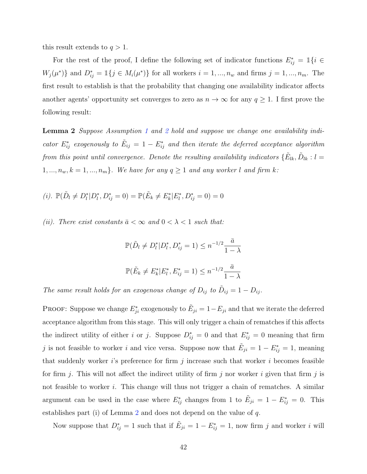this result extends to  $q > 1$ .

For the rest of the proof, I define the following set of indicator functions  $E_{ij}^* = \mathbb{1}\{i \in$  $W_j(\mu^*)\}\$ and  $D_{ij}^* = \mathbb{1}\{j \in M_i(\mu^*)\}\$ for all workers  $i = 1, ..., n_w$  and firms  $j = 1, ..., n_m$ . The first result to establish is that the probability that changing one availability indicator affects another agents' opportunity set converges to zero as  $n \to \infty$  for any  $q \ge 1$ . I first prove the following result:

<span id="page-42-0"></span>**Lemma [2](#page-8-0)** Suppose Assumption [1](#page-7-1) and 2 hold and suppose we change one availability indicator  $E_{ij}^*$  exogenously to  $\tilde{E}_{ij} = 1 - E_{ij}^*$  and then iterate the deferred acceptance algorithm from this point until convergence. Denote the resulting availability indicators  $\{\tilde{E}_{lk}, \tilde{D}_{lk} : l =$  $1, ..., n_w, k = 1, ..., n_m$ . We have for any  $q \ge 1$  and any worker l and firm k:

(i). 
$$
\mathbb{P}(\tilde{D}_l \neq D_l^* | D_l^*, D_{ij}^* = 0) = \mathbb{P}(\tilde{E}_k \neq E_k^* | E_l^*, D_{ij}^* = 0) = 0
$$

(ii). There exist constants  $\bar{a} < \infty$  and  $0 < \lambda < 1$  such that:

$$
\mathbb{P}(\tilde{D}_l \neq D_l^* | D_l^*, D_{ij}^* = 1) \leq n^{-1/2} \frac{\bar{a}}{1 - \lambda}
$$
  

$$
\mathbb{P}(\tilde{E}_k \neq E_k^* | E_l^*, E_{ij}^* = 1) \leq n^{-1/2} \frac{\bar{a}}{1 - \lambda}
$$

The same result holds for an exogenous change of  $D_{ij}$  to  $\tilde{D}_{ij} = 1 - D_{ij}$ .

PROOF: Suppose we change  $E_{ji}^*$  exogenously to  $\tilde{E}_{ji} = 1 - E_{ji}$  and that we iterate the deferred acceptance algorithm from this stage. This will only trigger a chain of rematches if this affects the indirect utility of either i or j. Suppose  $D_{ij}^* = 0$  and that  $E_{ij}^* = 0$  meaning that firm j is not feasible to worker i and vice versa. Suppose now that  $\tilde{E}_{ji} = 1 - E^*_{ij} = 1$ , meaning that suddenly worker is preference for firm j increase such that worker i becomes feasible for firm j. This will not affect the indirect utility of firm j nor worker i given that firm j is not feasible to worker i. This change will thus not trigger a chain of rematches. A similar argument can be used in the case where  $E_{ij}^*$  changes from 1 to  $\tilde{E}_{ji} = 1 - E_{ij}^* = 0$ . This establishes part (i) of Lemma [2](#page-42-0) and does not depend on the value of  $q$ .

Now suppose that  $D_{ij}^* = 1$  such that if  $\tilde{E}_{ji} = 1 - E_{ij}^* = 1$ , now firm j and worker i will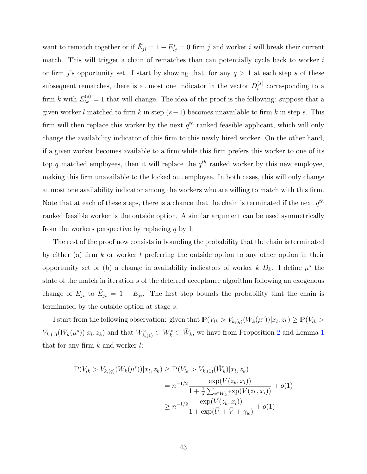want to rematch together or if  $\tilde{E}_{ji} = 1 - E^*_{ij} = 0$  firm j and worker i will break their current match. This will trigger a chain of rematches than can potentially cycle back to worker  $i$ or firm j's opportunity set. I start by showing that, for any  $q > 1$  at each step s of these subsequent rematches, there is at most one indicator in the vector  $D_l^{(s)}$  $\binom{8}{l}$  corresponding to a firm k with  $E_{lk}^{(s)} = 1$  that will change. The idea of the proof is the following: suppose that a given worker l matched to firm k in step  $(s-1)$  becomes unavailable to firm k in step s. This firm will then replace this worker by the next  $q^{th}$  ranked feasible applicant, which will only change the availability indicator of this firm to this newly hired worker. On the other hand, if a given worker becomes available to a firm while this firm prefers this worker to one of its top q matched employees, then it will replace the  $q^{th}$  ranked worker by this new employee, making this firm unavailable to the kicked out employee. In both cases, this will only change at most one availability indicator among the workers who are willing to match with this firm. Note that at each of these steps, there is a chance that the chain is terminated if the next  $q^{th}$ ranked feasible worker is the outside option. A similar argument can be used symmetrically from the workers perspective by replacing  $q$  by 1.

The rest of the proof now consists in bounding the probability that the chain is terminated by either (a) firm k or worker l preferring the outside option to any other option in their opportunity set or (b) a change in availability indicators of worker  $k D_k$ . I define  $\mu^s$  the state of the match in iteration s of the deferred acceptance algorithm following an exogenous change of  $E_{ji}$  to  $\tilde{E}_{ji} = 1 - E_{ji}$ . The first step bounds the probability that the chain is terminated by the outside option at stage s.

I start from the following observation: given that  $\mathbb{P}(V_{lk} > V_{k,(q)}(W_k(\mu^s)) | x_l, z_k) \geq \mathbb{P}(V_{lk} > V_{k,(q)}(W_k(\mu^s)) | z_l, z_k)$  $V_{k,(1)}(W_k(\mu^s))|x_l, z_k)$  $V_{k,(1)}(W_k(\mu^s))|x_l, z_k)$  $V_{k,(1)}(W_k(\mu^s))|x_l, z_k)$  and that  $W_{k,(1)}^{\circ} \subset W_k^* \subset \overline{W}_k$ , we have from Proposition [2](#page-13-1) and Lemma 1 that for any firm  $k$  and worker  $l$ :

$$
\mathbb{P}(V_{lk} > V_{k,(q)}(W_k(\mu^s)) | x_l, z_k) \ge \mathbb{P}(V_{lk} > V_{k,(1)}(\bar{W}_k) | x_l, z_k)
$$
  
=  $n^{-1/2} \frac{\exp(V(z_k, x_l))}{1 + \frac{1}{J} \sum_{i \in \bar{W}_k} \exp(V(z_k, x_i))} + o(1)$   

$$
\ge n^{-1/2} \frac{\exp(V(z_k, x_l))}{1 + \exp(\bar{U} + \bar{V} + \gamma_w)} + o(1)
$$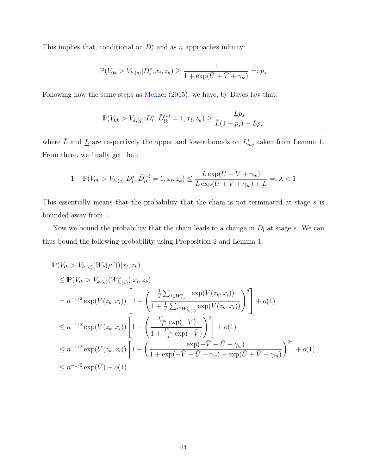This implies that, conditional on  $D_i^*$  and as n approaches infinity:

$$
\mathbb{P}(V_{0k} > V_{k,(q)} | D_i^*, x_i, z_k) \ge \frac{1}{1 + \exp(\bar{U} + \bar{V} + \gamma_w)} =: p_s
$$

Following now the same steps as [Menzel](#page-58-1) [\(2015\)](#page-58-1), we have, by Bayes law that:

$$
\mathbb{P}(V_{0k} > V_{k,(q)} | D_l^*, \tilde{D}_{lk}^{(s)} = 1, x_l, z_k) \ge \frac{Lp_s}{\bar{L}(1 - p_s) + Lp_s}
$$

where  $\overline{L}$  and  $\underline{L}$  are respectively the upper and lower bounds on  $L_{mj}^*$  taken from Lemma [1.](#page-39-0) From there, we finally get that:

$$
1 - \mathbb{P}(V_{0k} > V_{k,(q)} | D_l^*, \tilde{D}_{lk}^{(s)} = 1, x_l, z_k) \le \frac{\bar{L} \exp(\bar{U} + \bar{V} + \gamma_w)}{\bar{L} \exp(\bar{U} + \bar{V} + \gamma_w) + \underline{L}} =: \lambda < 1
$$

This essentially means that the probability that the chain is not terminated at stage s is bounded away from 1.

Now we bound the probability that the chain leads to a change in  $D_l$  at stage s. We can thus bound the following probability using Proposition [2](#page-13-1) and Lemma [1:](#page-39-0)

$$
\begin{split} &\mathbb{P}(V_{lk} > V_{k,(q)}(W_{k}(\mu^{s}))|x_{l},z_{k}) \\ &\leq \mathbb{P}(V_{lk} > V_{k,(q)}(W_{k,(1)}^{\circ})|x_{l},z_{k}) \\ &= n^{-1/2} \exp(V(z_{k},x_{l})) \left[1 - \left(\frac{\frac{1}{J} \sum_{i \in W_{k,(1)}^{\circ}} \exp(V(z_{k},x_{i}))}{1 + \frac{1}{J} \sum_{i \in W_{k,(1)}^{\circ}} \exp(V(z_{k},x_{i}))}\right)^{q}\right] + o(1) \\ &\leq n^{-1/2} \exp(V(z_{k},x_{l})) \left[1 - \left(\frac{\frac{J_{mk}^{\circ}}{J} \exp(-\bar{V})}{1 + \frac{J_{mk}^{\circ}}{J} \exp(-\bar{V})}\right)^{q}\right] + o(1) \\ &\leq n^{-1/2} \exp(V(z_{k},x_{l})) \left[1 - \left(\frac{\exp(-\bar{V} - \bar{U} + \gamma_{w})}{1 + \exp(-\bar{V} - \bar{U} + \gamma_{w}) + \exp(\bar{U} + \bar{V} + \gamma_{m})}\right)^{q}\right] + o(1) \\ &\leq n^{-1/2} \exp(\bar{V}) + o(1) \end{split}
$$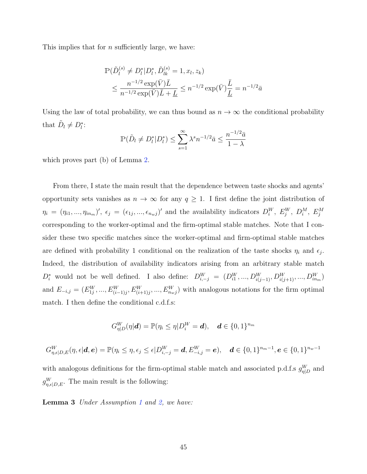This implies that for  $n$  sufficiently large, we have:

$$
\mathbb{P}(\tilde{D}_{l}^{(s)} \neq D_{l}^{*}|D_{l}^{*}, \tilde{D}_{lk}^{(s)} = 1, x_{l}, z_{k})
$$
\n
$$
\leq \frac{n^{-1/2} \exp(\bar{V}) \bar{L}}{n^{-1/2} \exp(\bar{V}) \bar{L} + \underline{L}} \leq n^{-1/2} \exp(\bar{V}) \frac{\bar{L}}{\underline{L}} = n^{-1/2} \bar{a}
$$

Using the law of total probability, we can thus bound as  $n \to \infty$  the conditional probability that  $\tilde{D}_l \neq D_l^*$ :

$$
\mathbb{P}(\tilde{D}_l \neq D_l^* | D_l^*) \le \sum_{s=1}^{\infty} \lambda^s n^{-1/2} \bar{a} \le \frac{n^{-1/2} \bar{a}}{1 - \lambda}
$$

which proves part (b) of Lemma [2.](#page-42-0)

From there, I state the main result that the dependence between taste shocks and agents' opportunity sets vanishes as  $n \to \infty$  for any  $q \geq 1$ . I first define the joint distribution of  $\eta_i = (\eta_{i1},...,\eta_{in_m})'$ ,  $\epsilon_j = (\epsilon_{1j},...,\epsilon_{n_wj})'$  and the availability indicators  $D_i^W$ ,  $E_j^W$ ,  $D_i^M$ ,  $E_j^M$ corresponding to the worker-optimal and the firm-optimal stable matches. Note that I consider these two specific matches since the worker-optimal and firm-optimal stable matches are defined with probability 1 conditional on the realization of the taste shocks  $\eta_i$  and  $\epsilon_j$ . Indeed, the distribution of availability indicators arising from an arbitrary stable match  $D_i^*$  would not be well defined. I also define:  $D_{i,-j}^W = (D_{i1}^W, ..., D_{i(j-1)}^W, D_{i(j+1)}^W, ..., D_{in_m}^W)$ and  $E_{-i,j} = (E_{1j}^W, ..., E_{(i-1)j}^W, E_{(i+1)j}^W, ..., E_{n_{w}j}^W)$  with analogous notations for the firm optimal match. I then define the conditional c.d.f.s:

$$
G_{\eta|D}^W(\eta|\boldsymbol{d})=\mathbb{P}(\eta_i\leq \eta|D_i^W=\boldsymbol{d}),\quad \boldsymbol{d}\in\{0,1\}^{n_m}
$$

$$
G_{\eta,\epsilon|D,E}^W(\eta,\epsilon|\bm{d},\bm{e}) = \mathbb{P}(\eta_i \leq \eta, \epsilon_j \leq \epsilon | D_{i,-j}^W = \bm{d}, E_{-i,j}^W = \bm{e}), \quad \bm{d} \in \{0,1\}^{n_m-1}, \bm{e} \in \{0,1\}^{n_w-1}
$$

with analogous definitions for the firm-optimal stable match and associated p.d.f.s  $g_{\eta|D}^W$  and  $g_{\eta,\epsilon|D,E}^W$ . The main result is the following:

<span id="page-45-0"></span>Lemma 3 Under Assumption [1](#page-7-1) and [2,](#page-8-0) we have: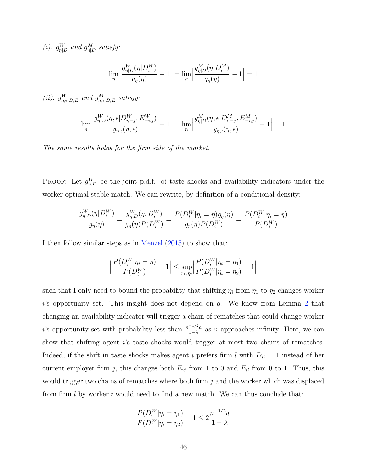(i).  $g_{\eta|D}^W$  and  $g_{\eta|D}^M$  satisfy:

$$
\lim_n \Big| \frac{g_{\eta|D}^W(\eta|D_i^W)}{g_{\eta}(\eta)}-1 \Big| = \lim_n \Big| \frac{g_{\eta|D}^M(\eta|D_i^M)}{g_{\eta}(\eta)}-1 \Big| = 1
$$

(ii).  $g_{\eta,\epsilon|D,E}^W$  and  $g_{\eta,\epsilon|D,E}^M$  satisfy:

$$
\lim_n \Big| \frac{g_{\eta|D}^W(\eta, \epsilon|D_{i,-j}^W, E_{-i,j}^W)}{g_{\eta, \epsilon}(\eta, \epsilon)} - 1 \Big| = \lim_n \Big| \frac{g_{\eta|D}^M(\eta, \epsilon|D_{i,-j}^M, E_{-i,j}^M)}{g_{\eta, \epsilon}(\eta, \epsilon)} - 1 \Big| = 1
$$

The same results holds for the firm side of the market.

**PROOF:** Let  $g_{\eta,D}^W$  be the joint p.d.f. of taste shocks and availability indicators under the worker optimal stable match. We can rewrite, by definition of a conditional density:

$$
\frac{g_{\eta|D}^W(\eta|D_i^W)}{g_{\eta}(\eta)} = \frac{g_{\eta,D}^W(\eta,D_i^W)}{g_{\eta}(\eta)P(D_i^W)} = \frac{P(D_i^W|\eta_i = \eta)g_{\eta}(\eta)}{g_{\eta}(\eta)P(D_i^W)} = \frac{P(D_i^W|\eta_i = \eta)}{P(D_i^W)}
$$

I then follow similar steps as in [Menzel](#page-58-1) [\(2015\)](#page-58-1) to show that:

$$
\left| \frac{P(D_i^W|\eta_i = \eta)}{P(D_i^W)} - 1 \right| \le \sup_{\eta_1, \eta_2} \left| \frac{P(D_i^W|\eta_i = \eta_1)}{P(D_i^W|\eta_i = \eta_2)} - 1 \right|
$$

such that I only need to bound the probability that shifting  $\eta_i$  from  $\eta_1$  to  $\eta_2$  changes worker  $i$ 's opportunity set. This insight does not depend on  $q$ . We know from Lemma [2](#page-42-0) that changing an availability indicator will trigger a chain of rematches that could change worker i's opportunity set with probability less than  $\frac{n^{-1/2}\bar{a}}{1-\lambda}$  as n approaches infinity. Here, we can show that shifting agent i's taste shocks would trigger at most two chains of rematches. Indeed, if the shift in taste shocks makes agent i prefers firm l with  $D_{il} = 1$  instead of her current employer firm j, this changes both  $E_{ij}$  from 1 to 0 and  $E_{il}$  from 0 to 1. Thus, this would trigger two chains of rematches where both firm  $j$  and the worker which was displaced from firm  $l$  by worker  $i$  would need to find a new match. We can thus conclude that:

$$
\frac{P(D_i^W|\eta_i = \eta_1)}{P(D_i^W|\eta_i = \eta_2)} - 1 \le 2\frac{n^{-1/2}\bar{a}}{1 - \lambda}
$$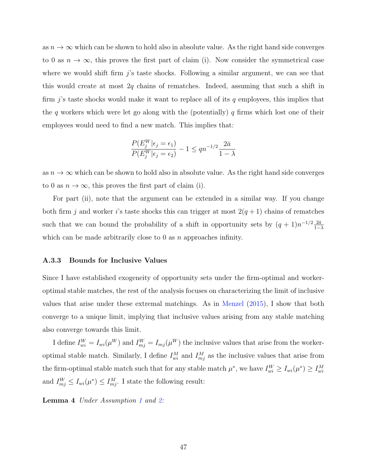as  $n \to \infty$  which can be shown to hold also in absolute value. As the right hand side converges to 0 as  $n \to \infty$ , this proves the first part of claim (i). Now consider the symmetrical case where we would shift firm  $j$ 's taste shocks. Following a similar argument, we can see that this would create at most  $2q$  chains of rematches. Indeed, assuming that such a shift in firm j's taste shocks would make it want to replace all of its q employees, this implies that the q workers which were let go along with the (potentially)  $q$  firms which lost one of their employees would need to find a new match. This implies that:

$$
\frac{P(E_j^W|\epsilon_j = \epsilon_1)}{P(E_j^W|\epsilon_j = \epsilon_2)} - 1 \le qn^{-1/2}\frac{2\bar{a}}{1 - \lambda}
$$

as  $n \to \infty$  which can be shown to hold also in absolute value. As the right hand side converges to 0 as  $n \to \infty$ , this proves the first part of claim (i).

For part (ii), note that the argument can be extended in a similar way. If you change both firm j and worker i's taste shocks this can trigger at most  $2(q+1)$  chains of rematches such that we can bound the probability of a shift in opportunity sets by  $(q + 1)n^{-1/2} \frac{2\bar{a}}{1-r}$  $1-\lambda$ which can be made arbitrarily close to 0 as  $n$  approaches infinity.

#### A.3.3 Bounds for Inclusive Values

Since I have established exogeneity of opportunity sets under the firm-optimal and workeroptimal stable matches, the rest of the analysis focuses on characterizing the limit of inclusive values that arise under these extremal matchings. As in [Menzel](#page-58-1) [\(2015\)](#page-58-1), I show that both converge to a unique limit, implying that inclusive values arising from any stable matching also converge towards this limit.

I define  $I_{wi}^W = I_{wi}(\mu^W)$  and  $I_{mj}^W = I_{mj}(\mu^W)$  the inclusive values that arise from the workeroptimal stable match. Similarly, I define  $I_{wi}^M$  and  $I_{mj}^M$  as the inclusive values that arise from the firm-optimal stable match such that for any stable match  $\mu^*$ , we have  $I_{wi}^W \ge I_{wi}(\mu^*) \ge I_{wi}^M$ and  $I_{mj}^W \leq I_{wi}(\mu^*) \leq I_{mj}^M$ . I state the following result:

<span id="page-47-0"></span>**Lemma 4** Under Assumption [1](#page-7-1) and [2:](#page-8-0)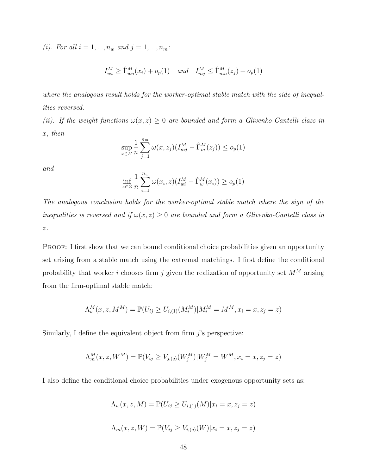(i). For all  $i = 1, ..., n_w$  and  $j = 1, ..., n_m$ :

$$
I_{wi}^M \ge \hat{\Gamma}_{wn}^M(x_i) + o_p(1) \quad and \quad I_{mj}^M \le \hat{\Gamma}_{mn}^M(z_j) + o_p(1)
$$

where the analogous result holds for the worker-optimal stable match with the side of inequalities reversed.

(ii). If the weight functions  $\omega(x, z) \geq 0$  are bounded and form a Glivenko-Cantelli class in x, then

$$
\sup_{x \in \mathcal{X}} \frac{1}{n} \sum_{j=1}^{n_m} \omega(x, z_j) (I_{mj}^M - \hat{\Gamma}_m^M(z_j)) \le o_p(1)
$$

and

$$
\inf_{z \in \mathcal{Z}} \frac{1}{n} \sum_{i=1}^{n_w} \omega(x_i, z) (I_{wi}^M - \hat{\Gamma}_w^M(x_i)) \ge o_p(1)
$$

The analogous conclusion holds for the worker-optimal stable match where the sign of the inequalities is reversed and if  $\omega(x, z) \geq 0$  are bounded and form a Glivenko-Cantelli class in  $\boldsymbol{z}$  .

PROOF: I first show that we can bound conditional choice probabilities given an opportunity set arising from a stable match using the extremal matchings. I first define the conditional probability that worker  $i$  chooses firm  $j$  given the realization of opportunity set  ${\cal M}^M$  arising from the firm-optimal stable match:

$$
\Lambda_w^M(x, z, M^M) = \mathbb{P}(U_{ij} \ge U_{i,(1)}(M_i^M) | M_i^M = M^M, x_i = x, z_j = z)
$$

Similarly, I define the equivalent object from firm  $j$ 's perspective:

$$
\Lambda_m^M(x, z, W^M) = \mathbb{P}(V_{ij} \ge V_{j, (q)}(W^M_j)|W^M_j = W^M, x_i = x, z_j = z)
$$

I also define the conditional choice probabilities under exogenous opportunity sets as:

$$
\Lambda_w(x, z, M) = \mathbb{P}(U_{ij} \ge U_{i,(1)}(M)|x_i = x, z_j = z)
$$
  

$$
\Lambda_m(x, z, W) = \mathbb{P}(V_{ij} \ge V_{i,(q)}(W)|x_i = x, z_j = z)
$$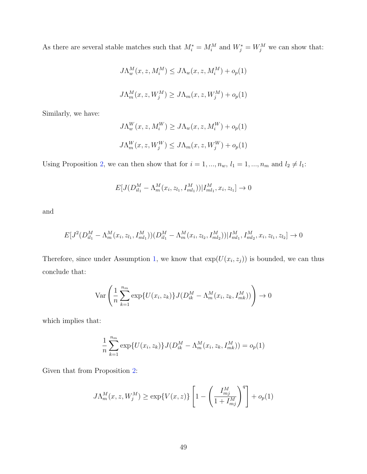As there are several stable matches such that  $M_i^* = M_i^M$  and  $W_j^* = W_j^M$  we can show that:

$$
J\Lambda_w^M(x, z, M_i^M) \leq J\Lambda_w(x, z, M_i^M) + o_p(1)
$$
  

$$
J\Lambda_m^M(x, z, W_j^M) \geq J\Lambda_m(x, z, W_j^M) + o_p(1)
$$

Similarly, we have:

$$
J\Lambda_w^W(x, z, M_i^W) \ge J\Lambda_w(x, z, M_i^W) + o_p(1)
$$
  

$$
J\Lambda_m^W(x, z, W_j^W) \le J\Lambda_m(x, z, W_j^W) + o_p(1)
$$

Using Proposition [2,](#page-13-1) we can then show that for  $i = 1, ..., n_w$ ,  $l_1 = 1, ..., n_m$  and  $l_2 \neq l_1$ :

$$
E[J(D_{il_1}^M - \Lambda_m^M(x_i, z_{l_1}, I_{ml_1}^M)) | I_{ml_1}^M, x_i, z_{l_1}] \to 0
$$

and

$$
E[J^2(D_{il_1}^M - \Lambda_m^M(x_i, z_{l_1}, I_{ml_1}^M))(D_{il_1}^M - \Lambda_m^M(x_i, z_{l_2}, I_{ml_2}^M))|I_{ml_1}^M, I_{ml_2}^M, x_i, z_{l_1}, z_{l_2}] \to 0
$$

Therefore, since under Assumption [1,](#page-7-1) we know that  $exp(U(x_i, z_j))$  is bounded, we can thus conclude that:

$$
\operatorname{Var}\left(\frac{1}{n}\sum_{k=1}^{n_m} \exp\{U(x_i, z_k)\} J(D_{ik}^M - \Lambda_m^M(x_i, z_k, I_{mk}^M))\right) \to 0
$$

which implies that:

$$
\frac{1}{n}\sum_{k=1}^{n_m} \exp\{U(x_i, z_k)\} J(D_{ik}^M - \Lambda_m^M(x_i, z_k, I_{mk}^M)) = o_p(1)
$$

Given that from Proposition [2:](#page-13-1)

$$
J\Lambda_m^M(x, z, W_j^M) \ge \exp\{V(x, z)\} \left[1 - \left(\frac{I_{mj}^M}{1 + I_{mj}^M}\right)^q\right] + o_p(1)
$$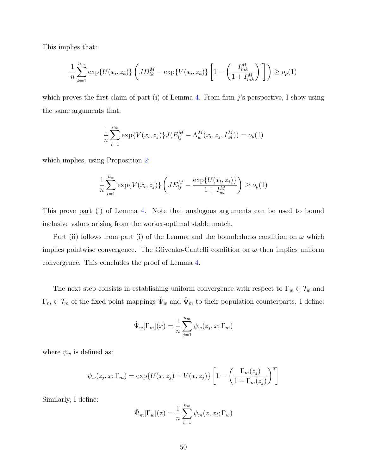This implies that:

$$
\frac{1}{n} \sum_{k=1}^{n_m} \exp\{U(x_i, z_k)\} \left( JD_{ik}^M - \exp\{V(x_i, z_k)\} \left[1 - \left(\frac{I_{mk}^M}{1 + I_{mk}^M}\right)^q\right]\right) \ge o_p(1)
$$

which proves the first claim of part (i) of Lemma [4.](#page-47-0) From firm  $j$ 's perspective, I show using the same arguments that:

$$
\frac{1}{n}\sum_{l=1}^{n_w} \exp\{V(x_l, z_j)\} J(E_{lj}^M - \Lambda_w^M(x_l, z_j, I_{wl}^M)) = o_p(1)
$$

which implies, using Proposition [2:](#page-13-1)

$$
\frac{1}{n}\sum_{l=1}^{n_w} \exp\{V(x_l, z_j)\} \left(JE_{lj}^M - \frac{\exp\{U(x_l, z_j)\}}{1 + I_{wl}^M}\right) \ge o_p(1)
$$

This prove part (i) of Lemma [4.](#page-47-0) Note that analogous arguments can be used to bound inclusive values arising from the worker-optimal stable match.

Part (ii) follows from part (i) of the Lemma and the boundedness condition on  $\omega$  which implies pointwise convergence. The Glivenko-Cantelli condition on  $\omega$  then implies uniform convergence. This concludes the proof of Lemma [4.](#page-47-0)

The next step consists in establishing uniform convergence with respect to  $\Gamma_w \in \mathcal{T}_w$  and  $\Gamma_m \in \mathcal{T}_m$  of the fixed point mappings  $\hat{\Psi}_w$  and  $\hat{\Psi}_m$  to their population counterparts. I define:

$$
\hat{\Psi}_w[\Gamma_m](x) = \frac{1}{n} \sum_{j=1}^{n_m} \psi_w(z_j, x; \Gamma_m)
$$

where  $\psi_w$  is defined as:

$$
\psi_w(z_j, x; \Gamma_m) = \exp\{U(x, z_j) + V(x, z_j)\} \left[1 - \left(\frac{\Gamma_m(z_j)}{1 + \Gamma_m(z_j)}\right)^q\right]
$$

Similarly, I define:

$$
\hat{\Psi}_m[\Gamma_w](z) = \frac{1}{n} \sum_{i=1}^{n_w} \psi_m(z, x_i; \Gamma_w)
$$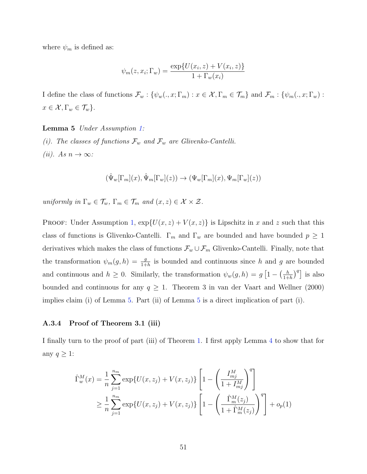where  $\psi_m$  is defined as:

$$
\psi_m(z, x_i; \Gamma_w) = \frac{\exp\{U(x_i, z) + V(x_i, z)\}}{1 + \Gamma_w(x_i)}
$$

I define the class of functions  $\mathcal{F}_w : \{\psi_w(.,x;\Gamma_m) : x \in \mathcal{X}, \Gamma_m \in \mathcal{T}_m\}$  and  $\mathcal{F}_m : \{\psi_m(.,x;\Gamma_w) : x \in \mathcal{X}, \Gamma_m \in \mathcal{T}_m\}$  $x \in \mathcal{X}, \Gamma_w \in \mathcal{T}_w$ .

#### <span id="page-51-0"></span>Lemma 5 Under Assumption [1:](#page-7-1)

(i). The classes of functions  $\mathcal{F}_w$  and  $\mathcal{F}_w$  are Glivenko-Cantelli. (*ii*). As  $n \to \infty$ :

$$
(\hat{\Psi}_w[\Gamma_m](x),\hat{\Psi}_m[\Gamma_w](z))\rightarrow (\Psi_w[\Gamma_m](x),\Psi_m[\Gamma_w](z))
$$

uniformly in  $\Gamma_w \in \mathcal{T}_w$ ,  $\Gamma_m \in \mathcal{T}_m$  and  $(x, z) \in \mathcal{X} \times \mathcal{Z}$ .

PROOF: Under Assumption [1,](#page-7-1)  $\exp\{U(x, z) + V(x, z)\}\)$  is Lipschitz in x and z such that this class of functions is Glivenko-Cantelli.  $\Gamma_m$  and  $\Gamma_w$  are bounded and have bounded  $p \geq 1$ derivatives which makes the class of functions  $\mathcal{F}_w \cup \mathcal{F}_m$  Glivenko-Cantelli. Finally, note that the transformation  $\psi_m(g, h) = \frac{g}{1+h}$  is bounded and continuous since h and g are bounded and continuous and  $h \geq 0$ . Similarly, the transformation  $\psi_w(g, h) = g \left[1 - \left(\frac{h}{1+h}\right)^2\right]$  $\left(\frac{h}{1+h}\right)^q$  is also bounded and continuous for any  $q \ge 1$ . Theorem 3 in van der Vaart and Wellner (2000) implies claim (i) of Lemma [5.](#page-51-0) Part (ii) of Lemma [5](#page-51-0) is a direct implication of part (i).

#### A.3.4 Proof of Theorem 3.1 (iii)

I finally turn to the proof of part (iii) of Theorem [1.](#page-18-3) I first apply Lemma [4](#page-47-0) to show that for any  $q \geq 1$ :

$$
\hat{\Gamma}_{w}^{M}(x) = \frac{1}{n} \sum_{j=1}^{n_{m}} \exp\{U(x, z_{j}) + V(x, z_{j})\} \left[1 - \left(\frac{I_{mj}^{M}}{1 + I_{mj}^{M}}\right)^{q}\right]
$$
\n
$$
\geq \frac{1}{n} \sum_{j=1}^{n_{m}} \exp\{U(x, z_{j}) + V(x, z_{j})\} \left[1 - \left(\frac{\hat{\Gamma}_{m}^{M}(z_{j})}{1 + \hat{\Gamma}_{m}^{M}(z_{j})}\right)^{q}\right] + o_{p}(1)
$$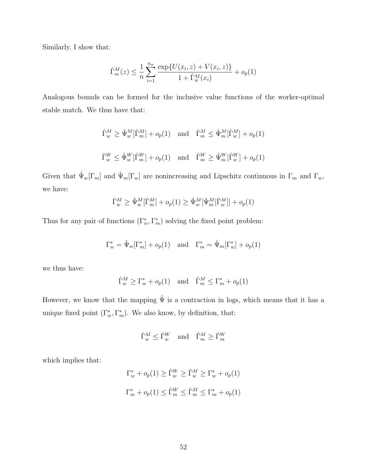Similarly, I show that:

$$
\widehat{\Gamma}_m^M(z) \le \frac{1}{n} \sum_{i=1}^{n_w} \frac{\exp\{U(x_i, z) + V(x_i, z)\}}{1 + \widehat{\Gamma}_w^M(x_i)} + o_p(1)
$$

Analogous bounds can be formed for the inclusive value functions of the worker-optimal stable match. We thus have that:

$$
\hat{\Gamma}^M_w \ge \hat{\Psi}^M_w[\hat{\Gamma}^M_m] + o_p(1) \quad \text{and} \quad \hat{\Gamma}^M_m \le \hat{\Psi}^M_m[\hat{\Gamma}^M_w] + o_p(1)
$$
\n
$$
\hat{\Gamma}^W_w \le \hat{\Psi}^W_w[\hat{\Gamma}^W_m] + o_p(1) \quad \text{and} \quad \hat{\Gamma}^W_m \ge \hat{\Psi}^W_m[\hat{\Gamma}^W_w] + o_p(1)
$$

Given that  $\hat{\Psi}_w[\Gamma_m]$  and  $\hat{\Psi}_m[\Gamma_w]$  are nonincreasing and Lipschitz continuous in  $\Gamma_m$  and  $\Gamma_w$ , we have:

$$
\widehat{\Gamma}^M_w \ge \widehat{\Psi}^M_w[\widehat{\Gamma}^M_m] + o_p(1) \ge \widehat{\Psi}^M_w[\widehat{\Psi}^M_m[\widehat{\Gamma}^M_w]] + o_p(1)
$$

Thus for any pair of functions  $(\Gamma_w^*, \Gamma_m^*)$  solving the fixed point problem:

$$
\Gamma_w^* = \hat{\Psi}_w[\Gamma_m^*] + o_p(1) \quad \text{and} \quad \Gamma_m^* = \hat{\Psi}_m[\Gamma_w^*] + o_p(1)
$$

we thus have:

$$
\widehat{\Gamma}^M_w \ge \Gamma^*_w + o_p(1) \quad \text{and} \quad \widehat{\Gamma}^M_m \le \Gamma^*_m + o_p(1)
$$

However, we know that the mapping  $\hat{\Psi}$  is a contraction in logs, which means that it has a unique fixed point  $(\Gamma_w^*, \Gamma_m^*)$ . We also know, by definition, that:

$$
\widehat{\Gamma}^M_w \le \widehat{\Gamma}^W_w \quad \text{and} \quad \widehat{\Gamma}^M_m \ge \widehat{\Gamma}^W_m
$$

which implies that:

$$
\Gamma_w^* + o_p(1) \ge \hat{\Gamma}_w^W \ge \hat{\Gamma}_w^M \ge \Gamma_w^* + o_p(1)
$$
  

$$
\Gamma_m^* + o_p(1) \le \hat{\Gamma}_m^W \le \hat{\Gamma}_m^M \le \Gamma_m^* + o_p(1)
$$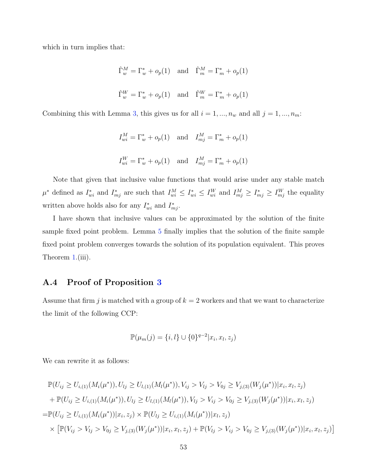which in turn implies that:

$$
\hat{\Gamma}_w^M = \Gamma_w^* + o_p(1) \quad \text{and} \quad \hat{\Gamma}_m^M = \Gamma_m^* + o_p(1)
$$
\n
$$
\hat{\Gamma}_w^W = \Gamma_w^* + o_p(1) \quad \text{and} \quad \hat{\Gamma}_m^W = \Gamma_m^* + o_p(1)
$$

Combining this with Lemma [3,](#page-45-0) this gives us for all  $i = 1, ..., n_w$  and all  $j = 1, ..., n_m$ :

$$
I_{wi}^M = \Gamma_w^* + o_p(1) \quad \text{and} \quad I_{mj}^M = \Gamma_m^* + o_p(1)
$$
  

$$
I_{wi}^W = \Gamma_w^* + o_p(1) \quad \text{and} \quad I_{mj}^M = \Gamma_m^* + o_p(1)
$$

Note that given that inclusive value functions that would arise under any stable match  $\mu^*$  defined as  $I_{wi}^*$  and  $I_{mj}^*$  are such that  $I_{wi}^M \leq I_{wi}^* \leq I_{wi}^W$  and  $I_{mj}^M \geq I_{mj}^* \geq I_{mj}^W$  the equality written above holds also for any  $I^*_{wi}$  and  $I^*_{mj}$ .

I have shown that inclusive values can be approximated by the solution of the finite sample fixed point problem. Lemma [5](#page-51-0) finally implies that the solution of the finite sample fixed point problem converges towards the solution of its population equivalent. This proves Theorem [1.](#page-18-3)(iii).

# <span id="page-53-0"></span>A.4 Proof of Proposition [3](#page-19-1)

Assume that firm j is matched with a group of  $k = 2$  workers and that we want to characterize the limit of the following CCP:

$$
\mathbb{P}(\mu_m(j) = \{i, l\} \cup \{0\}^{q-2} | x_i, x_l, z_j)
$$

We can rewrite it as follows:

$$
\mathbb{P}(U_{ij} \ge U_{i,(1)}(M_i(\mu^*)), U_{lj} \ge U_{l,(1)}(M_l(\mu^*)), V_{ij} > V_{lj} > V_{0j} \ge V_{j,(3)}(W_j(\mu^*)) | x_i, x_l, z_j)
$$
  
+ 
$$
\mathbb{P}(U_{ij} \ge U_{i,(1)}(M_i(\mu^*)), U_{lj} \ge U_{l,(1)}(M_l(\mu^*)), V_{lj} > V_{ij} > V_{0j} \ge V_{j,(3)}(W_j(\mu^*)) | x_i, x_l, z_j)
$$
  
= 
$$
\mathbb{P}(U_{ij} \ge U_{i,(1)}(M_i(\mu^*)) | x_i, z_j) \times \mathbb{P}(U_{lj} \ge U_{i,(1)}(M_i(\mu^*)) | x_l, z_j)
$$
  

$$
\times \left[ \mathbb{P}(V_{ij} > V_{lj} > V_{0j} \ge V_{j,(3)}(W_j(\mu^*)) | x_i, x_l, z_j) + \mathbb{P}(V_{lj} > V_{ij} > V_{0j} \ge V_{j,(3)}(W_j(\mu^*)) | x_i, x_l, z_j) \right]
$$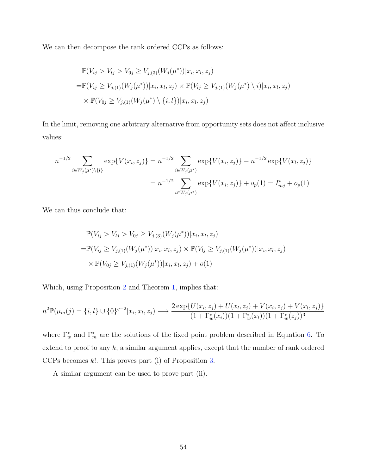We can then decompose the rank ordered CCPs as follows:

$$
\mathbb{P}(V_{ij} > V_{lj} > V_{0j} \ge V_{j,(3)}(W_j(\mu^*)) | x_i, x_l, z_j)
$$
\n
$$
= \mathbb{P}(V_{ij} \ge V_{j,(1)}(W_j(\mu^*)) | x_i, x_l, z_j) \times \mathbb{P}(V_{lj} \ge V_{j,(1)}(W_j(\mu^*) \setminus i) | x_i, x_l, z_j)
$$
\n
$$
\times \mathbb{P}(V_{0j} \ge V_{j,(1)}(W_j(\mu^*) \setminus \{i, l\}) | x_i, x_l, z_j)
$$

In the limit, removing one arbitrary alternative from opportunity sets does not affect inclusive values:

$$
n^{-1/2} \sum_{i \in W_j(\mu^*) \setminus \{l\}} \exp\{V(x_i, z_j)\} = n^{-1/2} \sum_{i \in W_j(\mu^*)} \exp\{V(x_i, z_j)\} - n^{-1/2} \exp\{V(x_l, z_j)\}
$$

$$
= n^{-1/2} \sum_{i \in W_j(\mu^*)} \exp\{V(x_i, z_j)\} + o_p(1) = I_{mj}^* + o_p(1)
$$

We can thus conclude that:

$$
\mathbb{P}(V_{ij} > V_{lj} > V_{0j} \ge V_{j,(3)}(W_j(\mu^*)) | x_i, x_l, z_j)
$$
  
= 
$$
\mathbb{P}(V_{ij} \ge V_{j,(1)}(W_j(\mu^*)) | x_i, x_l, z_j) \times \mathbb{P}(V_{lj} \ge V_{j,(1)}(W_j(\mu^*)) | x_i, x_l, z_j)
$$
  

$$
\times \mathbb{P}(V_{0j} \ge V_{j,(1)}(W_j(\mu^*)) | x_i, x_l, z_j) + o(1)
$$

Which, using Proposition [2](#page-13-1) and Theorem [1,](#page-18-3) implies that:

$$
n^{2}\mathbb{P}(\mu_{m}(j) = \{i, l\} \cup \{0\}^{q-2} | x_{i}, x_{l}, z_{j}) \longrightarrow \frac{2 \exp\{U(x_{i}, z_{j}) + U(x_{l}, z_{j}) + V(x_{i}, z_{j}) + V(x_{l}, z_{j})\}}{(1 + \Gamma_{w}^{*}(x_{i}))(1 + \Gamma_{w}^{*}(x_{l}))(1 + \Gamma_{w}^{*}(z_{j}))^{3}}
$$

where  $\Gamma_w^*$  and  $\Gamma_m^*$  are the solutions of the fixed point problem described in Equation [6.](#page-18-2) To extend to proof to any  $k$ , a similar argument applies, except that the number of rank ordered CCPs becomes k!. This proves part (i) of Proposition [3.](#page-19-1)

A similar argument can be used to prove part (ii).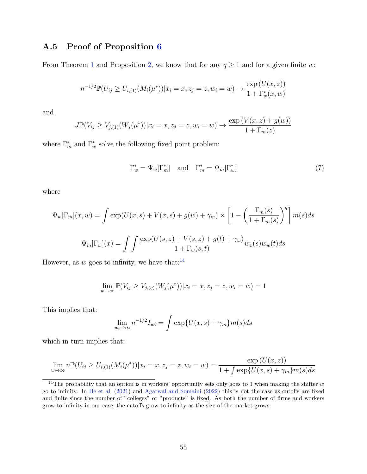# <span id="page-55-0"></span>A.5 Proof of Proposition [6](#page-23-3)

From Theorem [1](#page-18-3) and Proposition [2,](#page-13-1) we know that for any  $q \ge 1$  and for a given finite w:

$$
n^{-1/2} \mathbb{P}(U_{ij} \ge U_{i,(1)}(M_i(\mu^*)) | x_i = x, z_j = z, w_i = w) \to \frac{\exp(U(x, z))}{1 + \Gamma_w^*(x, w)}
$$

and

$$
J\mathbb{P}(V_{ij} \ge V_{j,(1)}(W_j(\mu^*)) | x_i = x, z_j = z, w_i = w) \to \frac{\exp(V(x, z) + g(w))}{1 + \Gamma_m(z)}
$$

where  $\Gamma_m^*$  and  $\Gamma_w^*$  solve the following fixed point problem:

$$
\Gamma_w^* = \Psi_w[\Gamma_m^*] \quad \text{and} \quad \Gamma_m^* = \Psi_m[\Gamma_w^*]
$$
 (7)

where

$$
\Psi_w[\Gamma_m](x, w) = \int \exp(U(x, s) + V(x, s) + g(w) + \gamma_m) \times \left[1 - \left(\frac{\Gamma_m(s)}{1 + \Gamma_m(s)}\right)^q\right] m(s) ds
$$

$$
\Psi_m[\Gamma_w](x) = \int \int \frac{\exp(U(s, z) + V(s, z) + g(t) + \gamma_w)}{1 + \Gamma_w(s, t)} w_x(s) w_w(t) ds
$$

However, as w goes to infinity, we have that: $14$ 

$$
\lim_{w \to \infty} \mathbb{P}(V_{ij} \ge V_{j,(q)}(W_j(\mu^*)) | x_i = x, z_j = z, w_i = w) = 1
$$

This implies that:

$$
\lim_{w_i \to \infty} n^{-1/2} I_{wi} = \int \exp\{U(x, s) + \gamma_m\} m(s) ds
$$

which in turn implies that:

$$
\lim_{w \to \infty} n \mathbb{P}(U_{ij} \ge U_{i,(1)}(M_i(\mu^*)) | x_i = x, z_j = z, w_i = w) = \frac{\exp(U(x, z))}{1 + \int \exp\{U(x, s) + \gamma_m\} m(s) ds}
$$

<span id="page-55-1"></span><sup>&</sup>lt;sup>14</sup>The probability that an option is in workers' opportunity sets only goes to 1 when making the shifter  $w$ go to infinity. In [He et al.](#page-58-2) [\(2021\)](#page-58-2) and [Agarwal and Somaini](#page-57-4) [\(2022\)](#page-57-4) this is not the case as cutoffs are fixed and finite since the number of "colleges" or "products" is fixed. As both the number of firms and workers grow to infinity in our case, the cutoffs grow to infinity as the size of the market grows.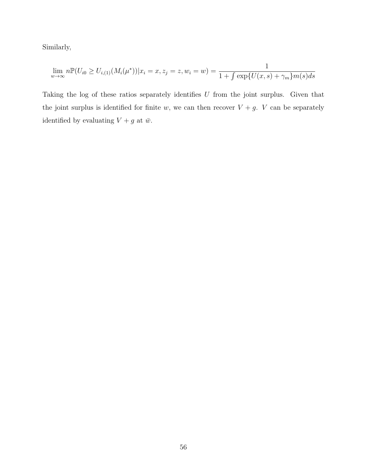Similarly,

$$
\lim_{w \to \infty} n \mathbb{P}(U_{i0} \ge U_{i,(1)}(M_i(\mu^*)) | x_i = x, z_j = z, w_i = w) = \frac{1}{1 + \int \exp\{U(x, s) + \gamma_m\} m(s) ds}
$$

Taking the log of these ratios separately identifies  $U$  from the joint surplus. Given that the joint surplus is identified for finite w, we can then recover  $V + g$ . V can be separately identified by evaluating  $V + g$  at  $\bar{w}$ .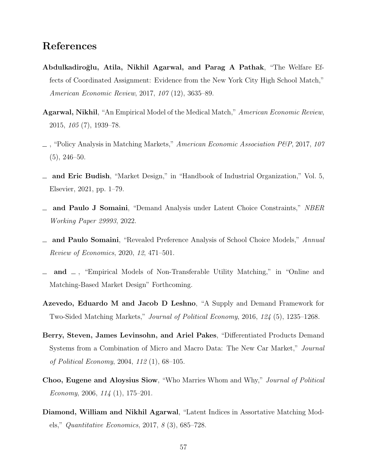# References

- <span id="page-57-6"></span>Abdulkadiro˘glu, Atila, Nikhil Agarwal, and Parag A Pathak, "The Welfare Effects of Coordinated Assignment: Evidence from the New York City High School Match," American Economic Review, 2017, 107 (12), 3635–89.
- <span id="page-57-9"></span>Agarwal, Nikhil, "An Empirical Model of the Medical Match," American Economic Review, 2015, 105 (7), 1939–78.
- <span id="page-57-1"></span> $\sim$ , "Policy Analysis in Matching Markets," American Economic Association P&P, 2017, 107  $(5), 246-50.$
- <span id="page-57-0"></span>and Eric Budish, "Market Design," in "Handbook of Industrial Organization," Vol. 5, Elsevier, 2021, pp. 1–79.
- <span id="page-57-4"></span>and Paulo J Somaini, "Demand Analysis under Latent Choice Constraints," NBER Working Paper 29993, 2022.
- <span id="page-57-3"></span>and Paulo Somaini, "Revealed Preference Analysis of School Choice Models," Annual Review of Economics, 2020, 12, 471–501.
- <span id="page-57-8"></span>and  $\Box$ , "Empirical Models of Non-Transferable Utility Matching," in "Online and Matching-Based Market Design" Forthcoming.
- <span id="page-57-10"></span>Azevedo, Eduardo M and Jacob D Leshno, "A Supply and Demand Framework for Two-Sided Matching Markets," Journal of Political Economy, 2016, 124 (5), 1235–1268.
- <span id="page-57-5"></span>Berry, Steven, James Levinsohn, and Ariel Pakes, "Differentiated Products Demand Systems from a Combination of Micro and Macro Data: The New Car Market," Journal of Political Economy, 2004, 112 (1), 68–105.
- <span id="page-57-7"></span>Choo, Eugene and Aloysius Siow, "Who Marries Whom and Why," Journal of Political Economy, 2006,  $114$  (1), 175–201.
- <span id="page-57-2"></span>Diamond, William and Nikhil Agarwal, "Latent Indices in Assortative Matching Models," Quantitative Economics, 2017, 8 (3), 685–728.